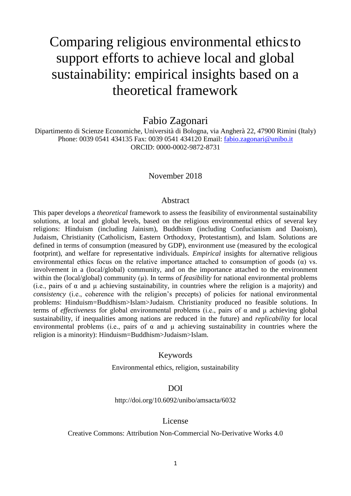# Comparing religious environmental ethicsto support efforts to achieve local and global sustainability: empirical insights based on a theoretical framework

Fabio Zagonari

Dipartimento di Scienze Economiche, Università di Bologna, via Angherà 22, 47900 Rimini (Italy) Phone: 0039 0541 434135 Fax: 0039 0541 434120 Email: [fabio.zagonari@unibo.it](mailto:fabio.zagonari@unibo.it) ORCID: 0000-0002-9872-8731

#### November 2018

#### Abstract

This paper develops a *theoretical* framework to assess the feasibility of environmental sustainability solutions, at local and global levels, based on the religious environmental ethics of several key religions: Hinduism (including Jainism), Buddhism (including Confucianism and Daoism), Judaism, Christianity (Catholicism, Eastern Orthodoxy, Protestantism), and Islam. Solutions are defined in terms of consumption (measured by GDP), environment use (measured by the ecological footprint), and welfare for representative individuals. *Empirical* insights for alternative religious environmental ethics focus on the relative importance attached to consumption of goods (α) vs. involvement in a (local/global) community, and on the importance attached to the environment within the (local/global) community (μ). In terms of *feasibility* for national environmental problems (i.e., pairs of  $\alpha$  and  $\mu$  achieving sustainability, in countries where the religion is a majority) and *consistency* (i.e., coherence with the religion's precepts) of policies for national environmental problems: Hinduism=Buddhism>Islam>Judaism. Christianity produced no feasible solutions. In terms of *effectiveness* for global environmental problems (i.e., pairs of α and μ achieving global sustainability, if inequalities among nations are reduced in the future) and *replicability* for local environmental problems (i.e., pairs of  $\alpha$  and  $\mu$  achieving sustainability in countries where the religion is a minority): Hinduism=Buddhism>Judaism>Islam.

#### Keywords

Environmental ethics, religion, sustainability

#### DOI

http://doi.org/10.6092/unibo/amsacta/6032

#### License

#### Creative Commons: Attribution Non-Commercial No-Derivative Works 4.0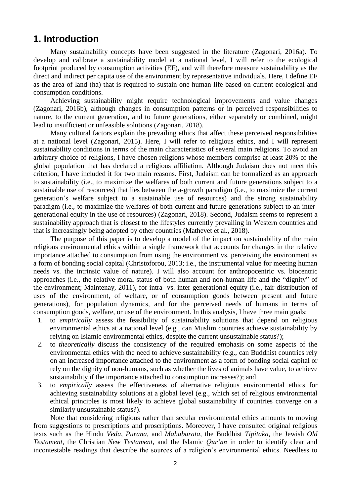# **1. Introduction**

Many sustainability concepts have been suggested in the literature (Zagonari, 2016a). To develop and calibrate a sustainability model at a national level, I will refer to the ecological footprint produced by consumption activities (EF), and will therefore measure sustainability as the direct and indirect per capita use of the environment by representative individuals. Here, I define EF as the area of land (ha) that is required to sustain one human life based on current ecological and consumption conditions.

Achieving sustainability might require technological improvements and value changes (Zagonari, 2016b), although changes in consumption patterns or in perceived responsibilities to nature, to the current generation, and to future generations, either separately or combined, might lead to insufficient or unfeasible solutions (Zagonari, 2018).

Many cultural factors explain the prevailing ethics that affect these perceived responsibilities at a national level (Zagonari, 2015). Here, I will refer to religious ethics, and I will represent sustainability conditions in terms of the main characteristics of several main religions. To avoid an arbitrary choice of religions, I have chosen religions whose members comprise at least 20% of the global population that has declared a religious affiliation. Although Judaism does not meet this criterion, I have included it for two main reasons. First, Judaism can be formalized as an approach to sustainability (i.e., to maximize the welfares of both current and future generations subject to a sustainable use of resources) that lies between the a-growth paradigm (i.e., to maximize the current generation's welfare subject to a sustainable use of resources) and the strong sustainability paradigm (i.e., to maximize the welfares of both current and future generations subject to an intergenerational equity in the use of resources) (Zagonari, 2018). Second, Judaism seems to represent a sustainability approach that is closest to the lifestyles currently prevailing in Western countries and that is increasingly being adopted by other countries (Mathevet et al., 2018).

The purpose of this paper is to develop a model of the impact on sustainability of the main religious environmental ethics within a single framework that accounts for changes in the relative importance attached to consumption from using the environment vs. perceiving the environment as a form of bonding social capital (Christoforou, 2013; i.e., the instrumental value for meeting human needs vs. the intrinsic value of nature). I will also account for anthropocentric vs. biocentric approaches (i.e., the relative moral status of both human and non-human life and the "dignity" of the environment; Maintenay, 2011), for intra- vs. inter-generational equity (i.e., fair distribution of uses of the environment, of welfare, or of consumption goods between present and future generations), for population dynamics, and for the perceived needs of humans in terms of consumption goods, welfare, or use of the environment. In this analysis, I have three main goals:

- 1. to *empirically* assess the feasibility of sustainability solutions that depend on religious environmental ethics at a national level (e.g., can Muslim countries achieve sustainability by relying on Islamic environmental ethics, despite the current unsustainable status?);
- 2. to *theoretically* discuss the consistency of the required emphasis on some aspects of the environmental ethics with the need to achieve sustainability (e.g., can Buddhist countries rely on an increased importance attached to the environment as a form of bonding social capital or rely on the dignity of non-humans, such as whether the lives of animals have value, to achieve sustainability if the importance attached to consumption increases?); and
- 3. to *empirically* assess the effectiveness of alternative religious environmental ethics for achieving sustainability solutions at a global level (e.g., which set of religious environmental ethical principles is most likely to achieve global sustainability if countries converge on a similarly unsustainable status?).

Note that considering religious rather than secular environmental ethics amounts to moving from suggestions to prescriptions and proscriptions. Moreover, I have consulted original religious texts such as the Hindu *Veda*, *Purana*, and *Mahabarata*, the Buddhist *Tipitaka*, the Jewish *Old Testament*, the Christian *New Testament*, and the Islamic *Qur'an* in order to identify clear and incontestable readings that describe the sources of a religion's environmental ethics. Needless to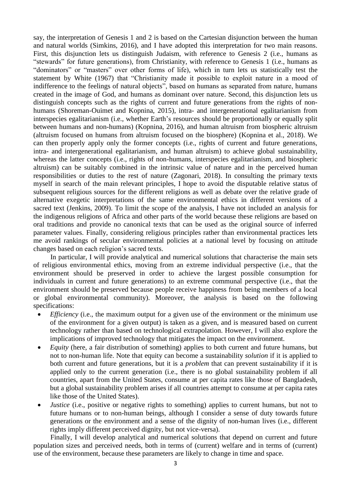say, the interpretation of Genesis 1 and 2 is based on the Cartesian disjunction between the human and natural worlds (Simkins, 2016), and I have adopted this interpretation for two main reasons. First, this disjunction lets us distinguish Judaism, with reference to Genesis 2 (i.e., humans as "stewards" for future generations), from Christianity, with reference to Genesis 1 (i.e., humans as "dominators" or "masters" over other forms of life), which in turn lets us statistically test the statement by White (1967) that "Christianity made it possible to exploit nature in a mood of indifference to the feelings of natural objects", based on humans as separated from nature, humans created in the image of God, and humans as dominant over nature. Second, this disjunction lets us distinguish concepts such as the rights of current and future generations from the rights of nonhumans (Shoreman-Ouimet and Kopnina, 2015), intra- and intergenerational egalitarianism from interspecies egalitarianism (i.e., whether Earth's resources should be proportionally or equally split between humans and non-humans) (Kopnina, 2016), and human altruism from biospheric altruism (altruism focused on humans from altruism focused on the biosphere) (Kopnina et al., 2018). We can then properly apply only the former concepts (i.e., rights of current and future generations, intra- and intergenerational egalitarianism, and human altruism) to achieve global sustainability, whereas the latter concepts (i.e., rights of non-humans, interspecies egalitarianism, and biospheric altruism) can be suitably combined in the intrinsic value of nature and in the perceived human responsibilities or duties to the rest of nature (Zagonari, 2018). In consulting the primary texts myself in search of the main relevant principles, I hope to avoid the disputable relative status of subsequent religious sources for the different religions as well as debate over the relative grade of alternative exegetic interpretations of the same environmental ethics in different versions of a sacred text (Jenkins, 2009). To limit the scope of the analysis, I have not included an analysis for the indigenous religions of Africa and other parts of the world because these religions are based on oral traditions and provide no canonical texts that can be used as the original source of inferred parameter values. Finally, considering religious principles rather than environmental practices lets me avoid rankings of secular environmental policies at a national level by focusing on attitude changes based on each religion's sacred texts.

In particular, I will provide analytical and numerical solutions that characterise the main sets of religious environmental ethics, moving from an extreme individual perspective (i.e., that the environment should be preserved in order to achieve the largest possible consumption for individuals in current and future generations) to an extreme communal perspective (i.e., that the environment should be preserved because people receive happiness from being members of a local or global environmental community). Moreover, the analysis is based on the following specifications:

- *Efficiency* (i.e., the maximum output for a given use of the environment or the minimum use of the environment for a given output) is taken as a given, and is measured based on current technology rather than based on technological extrapolation. However, I will also explore the implications of improved technology that mitigates the impact on the environment.
- *Equity* (here, a fair distribution of something) applies to both current and future humans, but not to non-human life. Note that equity can become a sustainability *solution* if it is applied to both current and future generations, but it is a *problem* that can prevent sustainability if it is applied only to the current generation (i.e., there is no global sustainability problem if all countries, apart from the United States, consume at per capita rates like those of Bangladesh, but a global sustainability problem arises if all countries attempt to consume at per capita rates like those of the United States).
- *Justice* (i.e., positive or negative rights to something) applies to current humans, but not to future humans or to non-human beings, although I consider a sense of duty towards future generations or the environment and a sense of the dignity of non-human lives (i.e., different rights imply different perceived dignity, but not vice-versa).

Finally, I will develop analytical and numerical solutions that depend on current and future population sizes and perceived needs, both in terms of (current) welfare and in terms of (current) use of the environment, because these parameters are likely to change in time and space.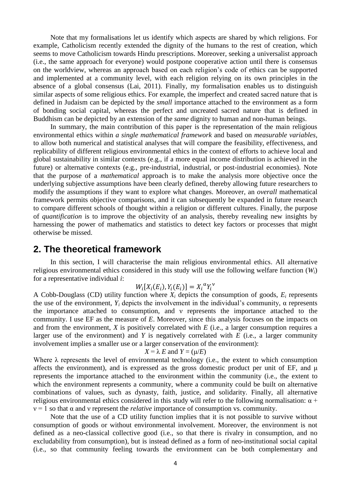Note that my formalisations let us identify which aspects are shared by which religions. For example, Catholicism recently extended the dignity of the humans to the rest of creation, which seems to move Catholicism towards Hindu prescriptions. Moreover, seeking a universalist approach (i.e., the same approach for everyone) would postpone cooperative action until there is consensus on the worldview, whereas an approach based on each religion's code of ethics can be supported and implemented at a community level, with each religion relying on its own principles in the absence of a global consensus (Lai, 2011). Finally, my formalisation enables us to distinguish similar aspects of some religious ethics. For example, the imperfect and created sacred nature that is defined in Judaism can be depicted by the *small* importance attached to the environment as a form of bonding social capital, whereas the perfect and uncreated sacred nature that is defined in Buddhism can be depicted by an extension of the *same* dignity to human and non-human beings.

In summary, the main contribution of this paper is the representation of the main religious environmental ethics within *a single mathematical framework* and based on *measurable variables*, to allow both numerical and statistical analyses that will compare the feasibility, effectiveness, and replicability of different religious environmental ethics in the context of efforts to achieve local and global sustainability in similar contexts (e.g., if a more equal income distribution is achieved in the future) or alternative contexts (e.g., pre-industrial, industrial, or post-industrial economies). Note that the purpose of a *mathematical* approach is to make the analysis more objective once the underlying subjective assumptions have been clearly defined, thereby allowing future researchers to modify the assumptions if they want to explore what changes. Moreover, an *overall* mathematical framework permits objective comparisons, and it can subsequently be expanded in future research to compare different schools of thought within a religion or different cultures. Finally, the purpose of *quantification* is to improve the objectivity of an analysis, thereby revealing new insights by harnessing the power of mathematics and statistics to detect key factors or processes that might otherwise be missed.

## **2. The theoretical framework**

In this section, I will characterise the main religious environmental ethics. All alternative religious environmental ethics considered in this study will use the following welfare function (*Wi*) for a representative individual *i*:

$$
W_i[X_i(E_i), Y_i(E_i)] = X_i^{\alpha} Y_i^{\nu}
$$

A Cobb-Douglass (CD) utility function where  $X_i$  depicts the consumption of goods,  $E_i$  represents the use of the environment,  $Y_i$  depicts the involvement in the individual's community,  $\alpha$  represents the importance attached to consumption, and ν represents the importance attached to the community. I use EF as the measure of *E*. Moreover, since this analysis focuses on the impacts on and from the environment, *X* is positively correlated with *E* (i.e., a larger consumption requires a larger use of the environment) and *Y* is negatively correlated with *E* (i.e., a larger community involvement implies a smaller use or a larger conservation of the environment):

$$
X = \lambda E \text{ and } Y = (\mu/E)
$$

Where  $\lambda$  represents the level of environmental technology (i.e., the extent to which consumption affects the environment), and is expressed as the gross domestic product per unit of EF, and  $\mu$ represents the importance attached to the environment within the community (i.e., the extent to which the environment represents a community, where a community could be built on alternative combinations of values, such as dynasty, faith, justice, and solidarity. Finally, all alternative religious environmental ethics considered in this study will refer to the following normalisation:  $α +$  $v = 1$  so that  $\alpha$  and  $\nu$  represent the *relative* importance of consumption vs. community.

Note that the use of a CD utility function implies that it is not possible to survive without consumption of goods or without environmental involvement. Moreover, the environment is not defined as a neo-classical collective good (i.e., so that there is rivalry in consumption, and no excludability from consumption), but is instead defined as a form of neo-institutional social capital (i.e., so that community feeling towards the environment can be both complementary and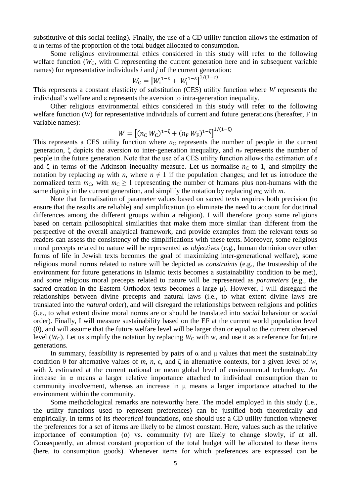substitutive of this social feeling). Finally, the use of a CD utility function allows the estimation of  $\alpha$  in terms of the proportion of the total budget allocated to consumption.

Some religious environmental ethics considered in this study will refer to the following welfare function ( $W<sub>C</sub>$ , with C representing the current generation here and in subsequent variable names) for representative individuals *i* and *j* of the current generation:

$$
W_{\rm C} = \left[W_{\rm i}^{1-\epsilon} + W_{\rm j}^{1-\epsilon}\right]^{1/(1-\epsilon)}
$$

This represents a constant elasticity of substitution (CES) utility function where *W* represents the individual's welfare and ε represents the aversion to intra-generation inequality.

Other religious environmental ethics considered in this study will refer to the following welfare function (*W*) for representative individuals of current and future generations (hereafter, F in variable names):  $1/(1-7)$ 

$$
W = \left[ (n_{\rm C} \, W_{\rm C})^{1-\zeta} + (n_{\rm F} \, W_{\rm F})^{1-\zeta} \right]^{1/(1-\zeta)}
$$

This represents a CES utility function where  $n<sub>C</sub>$  represents the number of people in the current generation,  $\zeta$  depicts the aversion to inter-generation inequality, and  $n_F$  represents the number of people in the future generation. Note that the use of a CES utility function allows the estimation of ε and  $\zeta$  in terms of the Atkinson inequality measure. Let us normalise  $n_c$  to 1, and simplify the notation by replacing  $n_F$  with *n*, where  $n \neq 1$  if the population changes; and let us introduce the normalized term  $m<sub>C</sub>$ , with  $m<sub>C</sub> \ge 1$  representing the number of humans plus non-humans with the same dignity in the current generation, and simplify the notation by replacing  $m<sub>C</sub>$  with  $m$ .

Note that formalisation of parameter values based on sacred texts requires both precision (to ensure that the results are reliable) and simplification (to eliminate the need to account for doctrinal differences among the different groups within a religion). I will therefore group some religions based on certain philosophical similarities that make them more similar than different from the perspective of the overall analytical framework, and provide examples from the relevant texts so readers can assess the consistency of the simplifications with these texts. Moreover, some religious moral precepts related to nature will be represented as *objectives* (e.g., human dominion over other forms of life in Jewish texts becomes the goal of maximizing inter-generational welfare), some religious moral norms related to nature will be depicted as *constraints* (e.g., the trusteeship of the environment for future generations in Islamic texts becomes a sustainability condition to be met), and some religious moral precepts related to nature will be represented as *parameters* (e.g., the sacred creation in the Eastern Orthodox texts becomes a large μ). However, I will disregard the relationships between divine precepts and natural laws (i.e., to what extent divine laws are translated into the *natural* order), and will disregard the relationships between religions and politics (i.e., to what extent divine moral norms are or should be translated into *social* behaviour or *social* order). Finally, I will measure sustainability based on the EF at the current world population level (θ), and will assume that the future welfare level will be larger than or equal to the current observed level ( $W_c$ ). Let us simplify the notation by replacing  $W_c$  with  $w$ , and use it as a reference for future generations.

In summary, feasibility is represented by pairs of  $\alpha$  and  $\mu$  values that meet the sustainability condition  $\theta$  for alternative values of *m*, *n*,  $\varepsilon$ , and  $\zeta$  in alternative contexts, for a given level of *w*, with  $\lambda$  estimated at the current national or mean global level of environmental technology. An increase in  $\alpha$  means a larger relative importance attached to individual consumption than to community involvement, whereas an increase in μ means a larger importance attached to the environment within the community.

Some methodological remarks are noteworthy here. The model employed in this study (i.e., the utility functions used to represent preferences) can be justified both theoretically and empirically. In terms of its *theoretical* foundations, one should use a CD utility function whenever the preferences for a set of items are likely to be almost constant. Here, values such as the relative importance of consumption ( $\alpha$ ) vs. community (v) are likely to change slowly, if at all. Consequently, an almost constant proportion of the total budget will be allocated to these items (here, to consumption goods). Whenever items for which preferences are expressed can be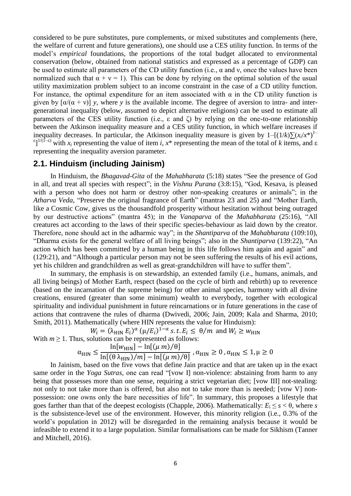considered to be pure substitutes, pure complements, or mixed substitutes and complements (here, the welfare of current and future generations), one should use a CES utility function. In terms of the model's *empirical* foundations, the proportions of the total budget allocated to environmental conservation (below, obtained from national statistics and expressed as a percentage of GDP) can be used to estimate all parameters of the CD utility function (i.e.,  $\alpha$  and  $\nu$ , once the values have been normalized such that  $\alpha + \nu = 1$ ). This can be done by relying on the optimal solution of the usual utility maximization problem subject to an income constraint in the case of a CD utility function. For instance, the optimal expenditure for an item associated with  $\alpha$  in the CD utility function is given by  $[\alpha/(\alpha + v)]$  *y*, where *y* is the available income. The degree of aversion to intra- and intergenerational inequality (below, assumed to depict alternative religions) can be used to estimate all parameters of the CES utility function (i.e., ε and ζ) by relying on the one-to-one relationship between the Atkinson inequality measure and a CES utility function, in which welfare increases if inequality decreases. In particular, the Atkinson inequality measure is given by  $1-[1/k)\sum (x_i/x^*)^{1-1}$  $\epsilon$ <sup>1/(1-ε)</sup> with *x<sub>i</sub>* representing the value of item *i*, *x*<sup>\*</sup> representing the mean of the total of *k* items, and ε representing the inequality aversion parameter.

### **2.1. Hinduism (including Jainism)**

In Hinduism, the *Bhagavad*-*Gita* of the *Mahabharata* (5:18) states "See the presence of God in all, and treat all species with respect"; in the *Vishnu Purana* (3:8:15), "God, Kesava, is pleased with a person who does not harm or destroy other non-speaking creatures or animals"; in the *Atharva Veda*, "Preserve the original fragrance of Earth" (mantras 23 and 25) and "Mother Earth, like a Cosmic Cow, gives us the thousandfold prosperity without hesitation without being outraged by our destructive actions" (mantra 45); in the *Vanaparva* of the *Mahabharata* (25:16), "All creatures act according to the laws of their specific species-behaviour as laid down by the creator. Therefore, none should act in the adharmic way"; in the *Shantiparva* of the *Mahabharata* (109:10), "Dharma exists for the general welfare of all living beings"; also in the *Shantiparva* (139:22), "An action which has been committed by a human being in this life follows him again and again" and (129:21), and "Although a particular person may not be seen suffering the results of his evil actions, yet his children and grandchildren as well as great-grandchildren will have to suffer them".

In summary, the emphasis is on stewardship, an extended family (i.e., humans, animals, and all living beings) of Mother Earth, respect (based on the cycle of birth and rebirth) up to reverence (based on the incarnation of the supreme being) for other animal species, harmony with all divine creations, ensured (greater than some minimum) wealth to everybody, together with ecological spirituality and individual punishment in future reincarnations or in future generations in the case of actions that contravene the rules of dharma (Dwivedi, 2006; Jain, 2009; Kala and Sharma, 2010; Smith, 2011). Mathematically (where HIN represents the value for Hinduism):

$$
W_i = (\lambda_{\text{HIN}} E_i)^{\alpha} (\mu/E_i)^{1-\alpha} s.t. E_i \le \theta/m \text{ and } W_i \ge w_{\text{HIN}}
$$
  
With  $m \ge 1$ . Thus, solutions can be represented as follows:  

$$
\alpha_{\text{HIN}} \le \frac{\ln[w_{\text{HIN}}] - \ln[(\mu m)/\theta]}{\ln[(\theta \lambda_{\text{HIN}})/m] - \ln[(\mu m)/\theta]}, \alpha_{\text{HIN}} \ge 0, \alpha_{\text{HIN}} \le 1, \mu \ge 0
$$

In Jainism, based on the five vows that define Jain practice and that are taken up in the exact same order in the *Yoga Sutras*, one can read "[vow I] non-violence: abstaining from harm to any being that possesses more than one sense, requiring a strict vegetarian diet; [vow III] not-stealing: not only to not take more than is offered, but also not to take more than is needed; [vow V] nonpossession: one owns only the bare necessities of life". In summary, this proposes a lifestyle that goes farther than that of the deepest ecologists (Chapple, 2006). Mathematically:  $E_i \le s < \theta$ , where *s* is the subsistence-level use of the environment. However, this minority religion (i.e., 0.3% of the world's population in 2012) will be disregarded in the remaining analysis because it would be infeasible to extend it to a large population. Similar formalisations can be made for Sikhism (Tanner and Mitchell, 2016).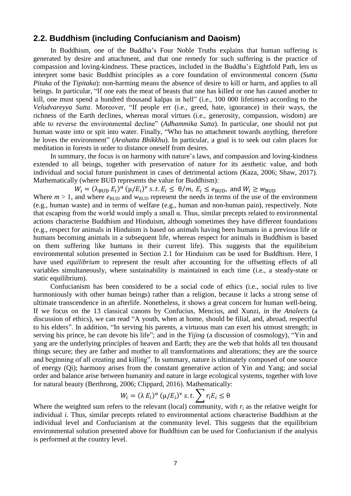## **2.2. Buddhism (including Confucianism and Daoism)**

In Buddhism, one of the Buddha's Four Noble Truths explains that human suffering is generated by desire and attachment, and that one remedy for such suffering is the practice of compassion and loving-kindness. These practices, included in the Buddha's Eightfold Path, lets us interpret some basic Buddhist principles as a core foundation of environmental concern (*Sutta Pitaka* of the *Tipitaka*): non-harming means the absence of desire to kill or harm, and applies to all beings. In particular, "If one eats the meat of beasts that one has killed or one has caused another to kill, one must spend a hundred thousand kalpas in hell" (i.e., 100 000 lifetimes) according to the *Veludvareyya Sutta*. Moreover, "If people err (i.e., greed, hate, ignorance) in their ways, the richness of the Earth declines, whereas moral virtues (i.e., generosity, compassion, wisdom) are able to reverse the environmental decline" (*Adhammika Sutta*). In particular, one should not put human waste into or spit into water. Finally, "Who has no attachment towards anything, therefore he loves the environment" (*Arahatta Bhikkhu*). In particular, a goal is to seek out calm places for meditation in forests in order to distance oneself from desires.

In summary, the focus is on harmony with nature's laws, and compassion and loving-kindness extended to all beings, together with preservation of nature for its aesthetic value, and both individual and social future punishment in cases of detrimental actions (Kaza, 2006; Shaw, 2017). Mathematically (where BUD represents the value for Buddhism):

 $W_i = (\lambda_{\text{BUD}} E_i)^{\alpha} (\mu/E_i)^{\nu}$  s. t.  $E_i \leq \theta/m$ ,  $E_i \leq e_{\text{BUD}}$ , and  $W_i \geq w_{\text{BUD}}$ 

Where  $m > 1$ , and where  $e_{\text{BUD}}$  and  $w_{\text{BUD}}$  represent the needs in terms of the use of the environment (e.g., human waste) and in terms of welfare (e.g., human and non-human pain), respectively. Note that escaping from the world would imply a small α. Thus, similar precepts related to environmental actions characterise Buddhism and Hinduism, although sometimes they have different foundations (e.g., respect for animals in Hinduism is based on animals having been humans in a previous life or humans becoming animals in a subsequent life, whereas respect for animals in Buddhism is based on them suffering like humans in their current life). This suggests that the equilibrium environmental solution presented in Section 2.1 for Hinduism can be used for Buddhism. Here, I have used *equilibrium* to represent the result after accounting for the offsetting effects of all variables simultaneously, where sustainability is maintained in each time (i.e., a steady-state or static equilibrium).

Confucianism has been considered to be a social code of ethics (i.e., social rules to live harmoniously with other human beings) rather than a religion, because it lacks a strong sense of ultimate transcendence in an afterlife. Nonetheless, it shows a great concern for human well-being. If we focus on the 13 classical canons by Confucius, Mencius, and Xunzi, in the *Analects* (a discussion of ethics), we can read "A youth, when at home, should be filial, and, abroad, respectful to his elders". In addition, "In serving his parents, a virtuous man can exert his utmost strength; in serving his prince, he can devote his life"; and in the *Yijing* (a discussion of cosmology), "Yin and yang are the underlying principles of heaven and Earth; they are the web that holds all ten thousand things secure; they are father and mother to all transformations and alterations; they are the source and beginning of all creating and killing". In summary, nature is ultimately composed of one source of energy (Qi); harmony arises from the constant generative action of Yin and Yang; and social order and balance arise between humanity and nature in large ecological systems, together with love for natural beauty (Berthrong, 2006; Clippard, 2016). Mathematically:

$$
W_i = (\lambda E_i)^{\alpha} (\mu / E_i)^{\nu} s.t. \sum r_i E_i \leq \theta
$$

Where the weighted sum refers to the relevant (local) community, with  $r_i$  as the relative weight for individual *i*. Thus, similar precepts related to environmental actions characterise Buddhism at the individual level and Confucianism at the community level. This suggests that the equilibrium environmental solution presented above for Buddhism can be used for Confucianism if the analysis is performed at the country level.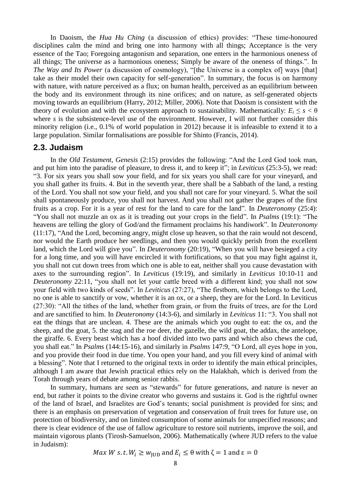In Daoism, the *Hua Hu Ching* (a discussion of ethics) provides: "These time-honoured disciplines calm the mind and bring one into harmony with all things; Acceptance is the very essence of the Tao; Foregoing antagonism and separation, one enters in the harmonious oneness of all things; The universe as a harmonious oneness; Simply be aware of the oneness of things.". In *The Way and Its Power* (a discussion of cosmology), "[the Universe is a complex of] ways [that] take as their model their own capacity for self-generation". In summary, the focus is on harmony with nature, with nature perceived as a flux; on human health, perceived as an equilibrium between the body and its environment through its nine orifices; and on nature, as self-generated objects moving towards an equilibrium (Harry, 2012; Miller, 2006). Note that Daoism is consistent with the theory of evolution and with the ecosystem approach to sustainability. Mathematically:  $E_i \leq s < \theta$ where *s* is the subsistence-level use of the environment. However, I will not further consider this minority religion (i.e., 0.1% of world population in 2012) because it is infeasible to extend it to a large population. Similar formalisations are possible for Shinto (Francis, 2014).

## **2.3. Judaism**

In the *Old Testament*, *Genesis* (2:15) provides the following: "And the Lord God took man, and put him into the paradise of pleasure, to dress it, and to keep it"; in *Leviticus* (25:3-5), we read: "3. For six years you shall sow your field, and for six years you shall care for your vineyard, and you shall gather its fruits. 4. But in the seventh year, there shall be a Sabbath of the land, a resting of the Lord. You shall not sow your field, and you shall not care for your vineyard. 5. What the soil shall spontaneously produce, you shall not harvest. And you shall not gather the grapes of the first fruits as a crop. For it is a year of rest for the land to care for the land". In *Deuteronomy* (25:4): "You shall not muzzle an ox as it is treading out your crops in the field". In *Psalms* (19:1): "The heavens are telling the glory of God/and the firmament proclaims his handiwork". In *Deuteronomy* (11:17), "And the Lord, becoming angry, might close up heaven, so that the rain would not descend, nor would the Earth produce her seedlings, and then you would quickly perish from the excellent land, which the Lord will give you". In *Deuteronomy* (20:19), "When you will have besieged a city for a long time, and you will have encircled it with fortifications, so that you may fight against it, you shall not cut down trees from which one is able to eat, neither shall you cause devastation with axes to the surrounding region". In *Leviticus* (19:19), and similarly in *Leviticus* 10:10-11 and *Deuteronomy* 22:11, "you shall not let your cattle breed with a different kind; you shall not sow your field with two kinds of seeds". In *Leviticus* (27:27), "The firstborn, which belongs to the Lord, no one is able to sanctify or vow, whether it is an ox, or a sheep, they are for the Lord. In Leviticus (27:30): "All the tithes of the land, whether from grain, or from the fruits of trees, are for the Lord and are sanctified to him. In *Deuteronomy* (14:3-6), and similarly in *Leviticus* 11: "3. You shall not eat the things that are unclean. 4. These are the animals which you ought to eat: the ox, and the sheep, and the goat, 5. the stag and the roe deer, the gazelle, the wild goat, the addax, the antelope, the giraffe. 6. Every beast which has a hoof divided into two parts and which also chews the cud, you shall eat." In *Psalms* (144:15-16), and similarly in *Psalms* 147:9, "O Lord, all eyes hope in you, and you provide their food in due time. You open your hand, and you fill every kind of animal with a blessing". Note that I returned to the original texts in order to identify the main ethical principles, although I am aware that Jewish practical ethics rely on the Halakhah, which is derived from the Torah through years of debate among senior rabbis.

In summary, humans are seen as "stewards" for future generations, and nature is never an end, but rather it points to the divine creator who governs and sustains it. God is the rightful owner of the land of Israel, and Israelites are God's tenants; social punishment is provided for sins; and there is an emphasis on preservation of vegetation and conservation of fruit trees for future use, on protection of biodiversity, and on limited consumption of some animals for unspecified reasons; and there is clear evidence of the use of fallow agriculture to restore soil nutrients, improve the soil, and maintain vigorous plants (Tirosh-Samuelson, 2006). Mathematically (where JUD refers to the value in Judaism):

 $Max W s.t. W_i \geq w_{\text{IID}}$  and  $E_i \leq \theta$  with  $\zeta = 1$  and  $\varepsilon = 0$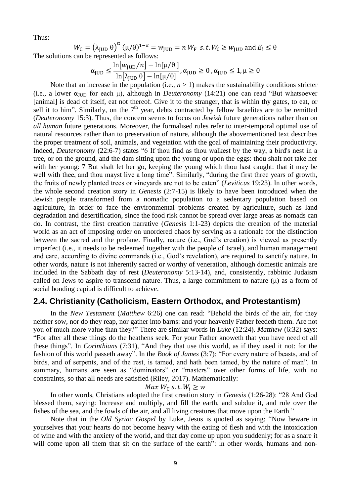Thus:

 $W_{\text{C}} = (\lambda_{\text{JUD}} \theta)^{\alpha}$  (µ/ $\theta$ )<sup>1- $\alpha = w_{\text{JUD}} = n$   $W_{\text{F}}$  s.t.  $W_i \geq w_{\text{JUD}}$  and  $E_i \leq \theta$ </sup>

The solutions can be represented as follows:

$$
\alpha_{\text{JUD}} \le \frac{\ln[w_{\text{JUD}}/n] - \ln[\mu/\theta]}{\ln[\lambda_{\text{JUD}} \theta] - \ln[\mu/\theta]}, \alpha_{\text{JUD}} \ge 0, \alpha_{\text{JUD}} \le 1, \mu \ge 0
$$

Note that an increase in the population (i.e.,  $n > 1$ ) makes the sustainability conditions stricter (i.e., a lower  $\alpha_{JUD}$  for each  $\mu$ ), although in *Deuteronomy* (14:21) one can read "But whatsoever [animal] is dead of itself, eat not thereof. Give it to the stranger, that is within thy gates, to eat, or sell it to him". Similarly, on the  $7<sup>th</sup>$  year, debts contracted by fellow Israelites are to be remitted (*Deuteronomy* 15:3). Thus, the concern seems to focus on *Jewish* future generations rather than on *all human* future generations. Moreover, the formalised rules refer to inter-temporal optimal use of natural resources rather than to preservation of nature, although the abovementioned text describes the proper treatment of soil, animals, and vegetation with the goal of maintaining their productivity. Indeed, *Deuteronomy* (22:6-7) states "6 If thou find as thou walkest by the way, a bird's nest in a tree, or on the ground, and the dam sitting upon the young or upon the eggs: thou shalt not take her with her young: 7 But shalt let her go, keeping the young which thou hast caught: that it may be well with thee, and thou mayst live a long time". Similarly, "during the first three years of growth, the fruits of newly planted trees or vineyards are not to be eaten" (*Leviticus* 19:23). In other words, the whole second creation story in *Genesis* (2:7-15) is likely to have been introduced when the Jewish people transformed from a nomadic population to a sedentary population based on agriculture, in order to face the environmental problems created by agriculture, such as land degradation and desertification, since the food risk cannot be spread over large areas as nomads can do. In contrast, the first creation narrative (*Genesis* 1:1-23) depicts the creation of the material world as an act of imposing order on unordered chaos by serving as a rationale for the distinction between the sacred and the profane. Finally, nature (i.e., God's creation) is viewed as presently imperfect (i.e., it needs to be redeemed together with the people of Israel), and human management and care, according to divine commands (i.e., God's revelation), are required to sanctify nature. In other words, nature is not inherently sacred or worthy of veneration, although domestic animals are included in the Sabbath day of rest (*Deuteronomy* 5:13-14), and, consistently, rabbinic Judaism called on Jews to aspire to transcend nature. Thus, a large commitment to nature  $(\mu)$  as a form of social bonding capital is difficult to achieve.

## **2.4. Christianity (Catholicism, Eastern Orthodox, and Protestantism)**

In the *New Testament* (*Matthew* 6:26) one can read: "Behold the birds of the air, for they neither sow, nor do they reap, nor gather into barns: and your heavenly Father feedeth them. Are not you of much more value than they?" There are similar words in *Luke* (12:24). *Matthew* (6:32) says: "For after all these things do the heathens seek. For your Father knoweth that you have need of all these things". In *Corinthians* (7:31), "And they that use this world, as if they used it not: for the fashion of this world passeth away". In the *Book of James* (3:7): "For every nature of beasts, and of birds, and of serpents, and of the rest, is tamed, and hath been tamed, by the nature of man". In summary, humans are seen as "dominators" or "masters" over other forms of life, with no constraints, so that all needs are satisfied (Riley, 2017). Mathematically:

$$
Max W_{C} s.t. W_{i} \geq w
$$

In other words, Christians adopted the first creation story in *Genesis* (1:26-28): "28 And God blessed them, saying: Increase and multiply, and fill the earth, and subdue it, and rule over the fishes of the sea, and the fowls of the air, and all living creatures that move upon the Earth."

Note that in the *Old Syriac Gospel* by Luke, Jesus is quoted as saying: "Now beware in yourselves that your hearts do not become heavy with the eating of flesh and with the intoxication of wine and with the anxiety of the world, and that day come up upon you suddenly; for as a snare it will come upon all them that sit on the surface of the earth": in other words, humans and non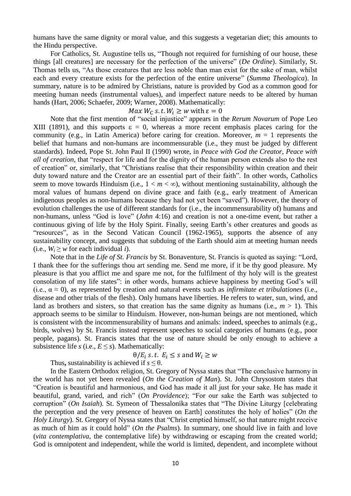humans have the same dignity or moral value, and this suggests a vegetarian diet; this amounts to the Hindu perspective.

For Catholics, St. Augustine tells us, "Though not required for furnishing of our house, these things [all creatures] are necessary for the perfection of the universe" (*De Ordine*). Similarly, St. Thomas tells us, "As those creatures that are less noble than man exist for the sake of man, whilst each and every creature exists for the perfection of the entire universe" (*Summa Theologica*). In summary, nature is to be admired by Christians, nature is provided by God as a common good for meeting human needs (instrumental values), and imperfect nature needs to be altered by human hands (Hart, 2006; Schaefer, 2009; Warner, 2008). Mathematically:

#### *Max*  $W_c$  *s.t.*  $W_i \geq w$  with  $\varepsilon = 0$

Note that the first mention of "social injustice" appears in the *Rerum Novarum* of Pope Leo XIII (1891), and this supports  $\varepsilon = 0$ , whereas a more recent emphasis places caring for the community (e.g., in Latin America) before caring for creation. Moreover,  $m = 1$  represents the belief that humans and non-humans are incommensurable (i.e., they must be judged by different standards). Indeed, Pope St. John Paul II (1990) wrote, in *Peace with God the Creator, Peace with all of creation*, that "respect for life and for the dignity of the human person extends also to the rest of creation" or, similarly, that "Christians realise that their responsibility within creation and their duty toward nature and the Creator are an essential part of their faith". In other words, Catholics seem to move towards Hinduism (i.e.,  $1 < m < \infty$ ), without mentioning sustainability, although the moral values of humans depend on divine grace and faith (e.g., early treatment of American indigenous peoples as non-humans because they had not yet been "saved"). However, the theory of evolution challenges the use of different standards for (i.e., the incommensurability of) humans and non-humans, unless "God is love" (*John* 4:16) and creation is not a one-time event, but rather a continuous giving of life by the Holy Spirit. Finally, seeing Earth's other creatures and goods as "resources", as in the Second Vatican Council (1962-1965), supports the absence of any sustainability concept, and suggests that subduing of the Earth should aim at meeting human needs (i.e.,  $W_i \geq w$  for each individual *i*).

Note that in the *Life of St. Francis* by St. Bonaventure, St. Francis is quoted as saying: "Lord, I thank thee for the sufferings thou art sending me. Send me more, if it be thy good pleasure. My pleasure is that you afflict me and spare me not, for the fulfilment of thy holy will is the greatest consolation of my life states": in other words, humans achieve happiness by meeting God's will (i.e.,  $\alpha \approx 0$ ), as represented by creation and natural events such as *infirmitate et tribulationes* (i.e., disease and other trials of the flesh). Only humans have liberties. He refers to water, sun, wind, and land as brothers and sisters, so that creation has the same dignity as humans (i.e.,  $m > 1$ ). This approach seems to be similar to Hinduism. However, non-human beings are not mentioned, which is consistent with the incommensurability of humans and animals: indeed, speeches to animals (e.g., birds, wolves) by St. Francis instead represent speeches to social categories of humans (e.g., poor people, pagans). St. Francis states that the use of nature should be only enough to achieve a subsistence life *s* (i.e.,  $E \leq s$ ). Mathematically:

$$
\theta/E_i \text{ s.t. } E_i \leq s \text{ and } W_i \geq w
$$

Thus, sustainability is achieved if  $s \leq \theta$ .

In the Eastern Orthodox religion, St. Gregory of Nyssa states that "The conclusive harmony in the world has not yet been revealed (*On the Creation of Man*). St. John Chrysostom states that "Creation is beautiful and harmonious, and God has made it all just for your sake. He has made it beautiful, grand, varied, and rich" (*On Providence*); "For our sake the Earth was subjected to corruption" (*On Isaiah*). St. Symeon of Thessalonika states that "The Divine Liturgy [celebrating the perception and the very presence of heaven on Earth] constitutes the holy of holies" (*On the Holy Liturgy*). St. Gregory of Nyssa states that "Christ emptied himself, so that nature might receive as much of him as it could hold" (*On the Psalms*). In summary, one should live in faith and love (*vita contemplativa*, the contemplative life) by withdrawing or escaping from the created world; God is omnipotent and independent, while the world is limited, dependent, and incomplete without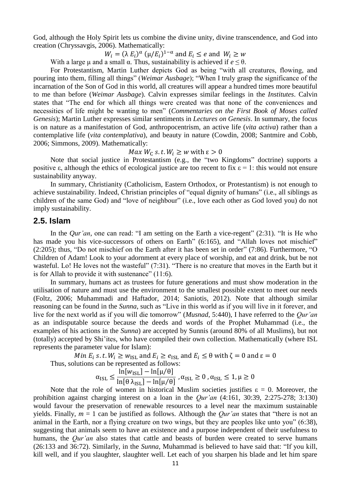God, although the Holy Spirit lets us combine the divine unity, divine transcendence, and God into creation (Chryssavgis, 2006). Mathematically:

 $W_i = (\lambda E_i)^{\alpha} (\mu/E_i)^{1-\alpha}$  and  $E_i \le e$  and  $W_i \ge w$ 

With a large μ and a small  $\alpha$ . Thus, sustainability is achieved if  $e \leq \theta$ .

For Protestantism, Martin Luther depicts God as being "with all creatures, flowing, and pouring into them, filling all things" (*Weimar Ausbage*); "When I truly grasp the significance of the incarnation of the Son of God in this world, all creatures will appear a hundred times more beautiful to me than before (*Weimar Ausbage*). Calvin expresses similar feelings in the *Institutes*. Calvin states that "The end for which all things were created was that none of the conveniences and necessities of life might be wanting to men" (*Commentaries on the First Book of Moses called Genesis*); Martin Luther expresses similar sentiments in *Lectures on Genesis*. In summary, the focus is on nature as a manifestation of God, anthropocentrism, an active life (*vita activa*) rather than a contemplative life (*vita contemplativa*), and beauty in nature (Cowdin, 2008; Santmire and Cobb, 2006; Simmons, 2009). Mathematically:

*Max*  $W_c$  *s.t.*  $W_i \geq w$  with  $\varepsilon > 0$ 

Note that social justice in Protestantism (e.g., the "two Kingdoms" doctrine) supports a positive  $\varepsilon$ , although the ethics of ecological justice are too recent to fix  $\varepsilon = 1$ : this would not ensure sustainability anyway.

In summary, Christianity (Catholicism, Eastern Orthodox, or Protestantism) is not enough to achieve sustainability. Indeed, Christian principles of "equal dignity of humans" (i.e., all siblings as children of the same God) and "love of neighbour" (i.e., love each other as God loved you) do not imply sustainability.

#### **2.5. Islam**

In the *Qur'an*, one can read: "I am setting on the Earth a vice-regent" (2:31). "It is He who has made you his vice-successors of others on Earth" (6:165), and "Allah loves not mischief" (2:205); thus, "Do not mischief on the Earth after it has been set in order" (7:86). Furthermore, "O Children of Adam! Look to your adornment at every place of worship, and eat and drink, but be not wasteful. Lo! He loves not the wasteful" (7:31). "There is no creature that moves in the Earth but it is for Allah to provide it with sustenance" (11:6).

In summary, humans act as trustees for future generations and must show moderation in the utilisation of nature and must use the environment to the smallest possible extent to meet our needs (Foltz, 2006; Muhammadi and Haftador, 2014; Saniotis, 2012). Note that although similar reasoning can be found in the *Sunna*, such as "Live in this world as if you will live in it forever, and live for the next world as if you will die tomorrow" (*Musnad*, 5:440), I have referred to the *Qur'an* as an indisputable source because the deeds and words of the Prophet Muhammad (i.e., the examples of his actions in the *Sunna*) are accepted by Sunnis (around 80% of all Muslims), but not (totally) accepted by Shi'ites, who have compiled their own collection. Mathematically (where ISL represents the parameter value for Islam):

 $Min E_i$  s. t.  $W_i \geq w_{ISL}$  and  $E_i \geq e_{ISL}$  and  $E_i \leq \theta$  with  $\zeta = 0$  and  $\varepsilon = 0$ Thus, solutions can be represented as follows:

$$
\alpha_{\mathrm{ISL}} \le \frac{\ln[w_{\mathrm{ISL}}] - \ln[\mu/\theta]}{\ln[\theta \lambda_{\mathrm{ISL}}] - \ln[\mu/\theta]}, \alpha_{\mathrm{ISL}} \ge 0, \alpha_{\mathrm{ISL}} \le 1, \mu \ge 0
$$

Note that the role of women in historical Muslim societies justifies  $\varepsilon = 0$ . Moreover, the prohibition against charging interest on a loan in the *Qur'an* (4:161, 30:39, 2:275-278; 3:130) would favour the preservation of renewable resources to a level near the maximum sustainable yields. Finally,  $m = 1$  can be justified as follows. Although the *Our'an* states that "there is not an animal in the Earth, nor a flying creature on two wings, but they are peoples like unto you" (6:38), suggesting that animals seem to have an existence and a purpose independent of their usefulness to humans, the *Qur'an* also states that cattle and beasts of burden were created to serve humans (26:133 and 36:72). Similarly, in the *Sunna*, Muhammad is believed to have said that: "If you kill, kill well, and if you slaughter, slaughter well. Let each of you sharpen his blade and let him spare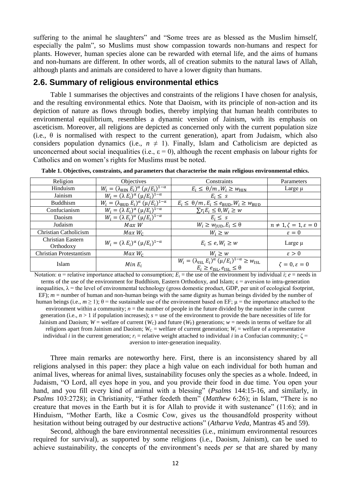suffering to the animal he slaughters" and "Some trees are as blessed as the Muslim himself, especially the palm", so Muslims must show compassion towards non-humans and respect for plants. However, human species alone can be rewarded with eternal life, and the aims of humans and non-humans are different. In other words, all of creation submits to the natural laws of Allah, although plants and animals are considered to have a lower dignity than humans.

## **2.6. Summary of religious environmental ethics**

Table 1 summarises the objectives and constraints of the religions I have chosen for analysis, and the resulting environmental ethics. Note that Daoism, with its principle of non-action and its depiction of nature as flows through bodies, thereby implying that human health contributes to environmental equilibrium, resembles a dynamic version of Jainism, with its emphasis on asceticism. Moreover, all religions are depicted as concerned only with the current population size (i.e.,  $\theta$  is normalised with respect to the current generation), apart from Judaism, which also considers population dynamics (i.e.,  $n \neq 1$ ). Finally, Islam and Catholicism are depicted as unconcerned about social inequalities (i.e.,  $\varepsilon = 0$ ), although the recent emphasis on labour rights for Catholics and on women's rights for Muslims must be noted.

| Religion                       | Objectives                                                       | Constraints                                                                                                                                    | Parameters                             |  |
|--------------------------------|------------------------------------------------------------------|------------------------------------------------------------------------------------------------------------------------------------------------|----------------------------------------|--|
| Hinduism                       | $W_i = (\lambda_{\text{HIN}} E_i)^{\alpha} (\mu/E_i)^{1-\alpha}$ | $E_i \leq \theta/m$ , $W_i \geq W_{\text{HIN}}$                                                                                                | Large $\mu$                            |  |
| Jainism                        | $W_i = (\lambda E_i)^{\alpha} (\mu/E_i)^{1-\alpha}$              | $E_i \leq s$                                                                                                                                   |                                        |  |
| <b>Buddhism</b>                | $W_i = (\lambda_{\text{BUD}} E_i)^{\alpha} (\mu/E_i)^{1-\alpha}$ | $E_i \leq \theta/m$ , $E_i \leq e_{\text{BUD}}$ , $W_i \geq w_{\text{BUD}}$                                                                    |                                        |  |
| Confucianism                   | $W_i = (\lambda E_i)^{\alpha} (\mu/E_i)^{1-\alpha}$              | $\sum r_i E_i \leq \theta, W_i \geq w$                                                                                                         |                                        |  |
| Daoism                         | $\overline{W_i} = (\lambda E_i)^{\alpha} (\mu/E_i)^{1-\alpha}$   | $E_i \leq s$                                                                                                                                   |                                        |  |
| Judaism                        | Max W                                                            | $W_i \geq W_{\text{IUD}}, E_i \leq \theta$                                                                                                     | $n \neq 1, \zeta = 1, \varepsilon = 0$ |  |
| Christian Catholicism          | $Max W_C$                                                        | $W_i \geq w$                                                                                                                                   | $\varepsilon = 0$                      |  |
| Christian Eastern<br>Orthodoxy | $W_i = (\lambda E_i)^{\alpha} (\mu/E_i)^{1-\alpha}$              | $E_i \leq e, W_i \geq w$                                                                                                                       | Large µ                                |  |
| <b>Christian Protestantism</b> | $Max W_c$                                                        | $W_i \geq w$                                                                                                                                   | $\varepsilon > 0$                      |  |
| Islam                          | $Min E_i$                                                        | $W_i = (\lambda_{\text{ISL}} E_i)^{\alpha} (\mu/E_i)^{1-\alpha} \geq w_{\text{ISL}}$<br>$E_i \ge e_{\text{ISL}}$ , $e_{\text{ISL}} \le \theta$ | $\zeta = 0, \varepsilon = 0$           |  |

**Table 1. Objectives, constraints, and parameters that characterise the main religious environmental ethics.**

Notation:  $\alpha$  = relative importance attached to consumption;  $E_i$  = the use of the environment by individual *i*; *e* = needs in terms of the use of the environment for Buddhism, Eastern Orthodoxy, and Islam;  $\varepsilon$  = aversion to intra-generation inequalities,  $\lambda$  = the level of environmental technology (gross domestic product, GDP, per unit of ecological footprint, EF);  $m =$  number of human and non-human beings with the same dignity as human beings divided by the number of human beings (i.e.,  $m \ge 1$ );  $\theta$  = the sustainable use of the environment based on EF;  $\mu$  = the importance attached to the environment within a community;  $n =$  the number of people in the future divided by the number in the current generation (i.e.,  $n > 1$  if population increases);  $s =$  use of the environment to provide the bare necessities of life for Jainism and Daoism;  $W =$  welfare of current  $(W_C)$  and future  $(W_F)$  generations;  $w =$  needs in terms of welfare for all religions apart from Jainism and Daoism;  $W_c$  = welfare of current generation;  $W_i$  = welfare of a representative individual *i* in the current generation;  $r_i$  = relative weight attached to individual *i* in a Confucian community;  $\zeta$  = aversion to inter-generation inequality.

Three main remarks are noteworthy here. First, there is an inconsistency shared by all religions analysed in this paper: they place a high value on each individual for both human and animal lives, whereas for animal lives, sustainability focuses only the species as a whole. Indeed, in Judaism, "O Lord, all eyes hope in you, and you provide their food in due time. You open your hand, and you fill every kind of animal with a blessing" (*Psalms* 144:15-16, and similarly, in *Psalms* 103:2728); in Christianity, "Father feedeth them" (*Matthew* 6:26); in Islam, "There is no creature that moves in the Earth but it is for Allah to provide it with sustenance" (11:6); and in Hinduism, "Mother Earth, like a Cosmic Cow, gives us the thousandfold prosperity without hesitation without being outraged by our destructive actions" (*Atharva Veda*, Mantras 45 and 59).

Second, although the bare environmental necessities (i.e., minimum environmental resources required for survival), as supported by some religions (i.e., Daoism, Jainism), can be used to achieve sustainability, the concepts of the environment's needs *per se* that are shared by many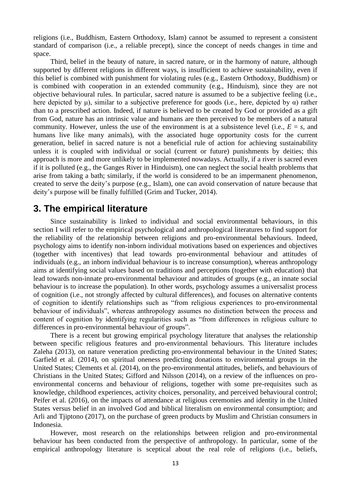religions (i.e., Buddhism, Eastern Orthodoxy, Islam) cannot be assumed to represent a consistent standard of comparison (i.e., a reliable precept), since the concept of needs changes in time and space.

Third, belief in the beauty of nature, in sacred nature, or in the harmony of nature, although supported by different religions in different ways, is insufficient to achieve sustainability, even if this belief is combined with punishment for violating rules (e.g., Eastern Orthodoxy, Buddhism) or is combined with cooperation in an extended community (e.g., Hinduism), since they are not objective behavioural rules. In particular, sacred nature is assumed to be a subjective feeling (i.e., here depicted by  $\mu$ ), similar to a subjective preference for goods (i.e., here, depicted by  $\alpha$ ) rather than to a prescribed action. Indeed, if nature is believed to be created by God or provided as a gift from God, nature has an intrinsic value and humans are then perceived to be members of a natural community. However, unless the use of the environment is at a subsistence level (i.e.,  $E = s$ , and humans live like many animals), with the associated huge opportunity costs for the current generation, belief in sacred nature is not a beneficial rule of action for achieving sustainability unless it is coupled with individual or social (current or future) punishments by deities; this approach is more and more unlikely to be implemented nowadays. Actually, if a river is sacred even if it is polluted (e.g., the Ganges River in Hinduism), one can neglect the social health problems that arise from taking a bath; similarly, if the world is considered to be an impermanent phenomenon, created to serve the deity's purpose (e.g., Islam), one can avoid conservation of nature because that deity's purpose will be finally fulfilled (Grim and Tucker, 2014).

# **3. The empirical literature**

Since sustainability is linked to individual and social environmental behaviours, in this section I will refer to the empirical psychological and anthropological literatures to find support for the reliability of the relationship between religions and pro-environmental behaviours. Indeed, psychology aims to identify non-inborn individual motivations based on experiences and objectives (together with incentives) that lead towards pro-environmental behaviour and attitudes of individuals (e.g., an inborn individual behaviour is to increase consumption), whereas anthropology aims at identifying social values based on traditions and perceptions (together with education) that lead towards non-innate pro-environmental behaviour and attitudes of groups (e.g., an innate social behaviour is to increase the population). In other words, psychology assumes a universalist process of cognition (i.e., not strongly affected by cultural differences), and focuses on alternative contents of cognition to identify relationships such as "from religious experiences to pro-environmental behaviour of individuals", whereas anthropology assumes no distinction between the process and content of cognition by identifying regularities such as "from differences in religious culture to differences in pro-environmental behaviour of groups".

There is a recent but growing empirical psychology literature that analyses the relationship between specific religious features and pro-environmental behaviours. This literature includes Zaleha (2013), on nature veneration predicting pro-environmental behaviour in the United States; Garfield et al. (2014), on spiritual oneness predicting donations to environmental groups in the United States; Clements et al. (2014), on the pro-environmental attitudes, beliefs, and behaviours of Christians in the United States; Gifford and Nilsson (2014), on a review of the influences on proenvironmental concerns and behaviour of religions, together with some pre-requisites such as knowledge, childhood experiences, activity choices, personality, and perceived behavioural control; Peifer et al. (2016), on the impacts of attendance at religious ceremonies and identity in the United States versus belief in an involved God and biblical literalism on environmental consumption; and Arli and Tjiptono (2017), on the purchase of green products by Muslim and Christian consumers in Indonesia.

However, most research on the relationships between religion and pro-environmental behaviour has been conducted from the perspective of anthropology. In particular, some of the empirical anthropology literature is sceptical about the real role of religions (i.e., beliefs,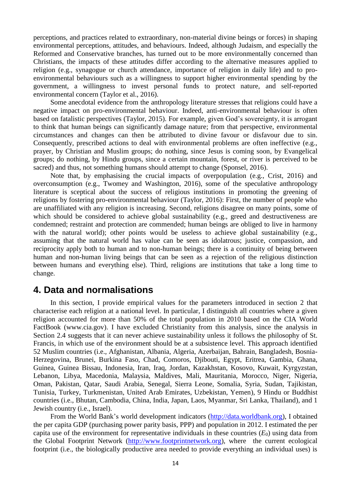perceptions, and practices related to extraordinary, non-material divine beings or forces) in shaping environmental perceptions, attitudes, and behaviours. Indeed, although Judaism, and especially the Reformed and Conservative branches, has turned out to be more environmentally concerned than Christians, the impacts of these attitudes differ according to the alternative measures applied to religion (e.g., synagogue or church attendance, importance of religion in daily life) and to proenvironmental behaviours such as a willingness to support higher environmental spending by the government, a willingness to invest personal funds to protect nature, and self-reported environmental concern (Taylor et al., 2016).

Some anecdotal evidence from the anthropology literature stresses that religions could have a negative impact on pro-environmental behaviour. Indeed, anti-environmental behaviour is often based on fatalistic perspectives (Taylor, 2015). For example, given God's sovereignty, it is arrogant to think that human beings can significantly damage nature; from that perspective, environmental circumstances and changes can then be attributed to divine favour or disfavour due to sin. Consequently, prescribed actions to deal with environmental problems are often ineffective (e.g., prayer, by Christian and Muslim groups; do nothing, since Jesus is coming soon, by Evangelical groups; do nothing, by Hindu groups, since a certain mountain, forest, or river is perceived to be sacred) and thus, not something humans should attempt to change (Sponsel, 2016).

Note that, by emphasising the crucial impacts of overpopulation (e.g., Crist, 2016) and overconsumption (e.g., Twomey and Washington, 2016), some of the speculative anthropology literature is sceptical about the success of religious institutions in promoting the greening of religions by fostering pro-environmental behaviour (Taylor, 2016): First, the number of people who are unaffiliated with any religion is increasing. Second, religions disagree on many points, some of which should be considered to achieve global sustainability (e.g., greed and destructiveness are condemned; restraint and protection are commended; human beings are obliged to live in harmony with the natural world); other points would be useless to achieve global sustainability (e.g., assuming that the natural world has value can be seen as idolatrous; justice, compassion, and reciprocity apply both to human and to non-human beings; there is a continuity of being between human and non-human living beings that can be seen as a rejection of the religious distinction between humans and everything else). Third, religions are institutions that take a long time to change.

# **4. Data and normalisations**

In this section, I provide empirical values for the parameters introduced in section 2 that characterise each religion at a national level. In particular, I distinguish all countries where a given religion accounted for more than 50% of the total population in 2010 based on the CIA World FactBook (www.cia.gov). I have excluded Christianity from this analysis, since the analysis in Section 2.4 suggests that it can never achieve sustainability unless it follows the philosophy of St. Francis, in which use of the environment should be at a subsistence level. This approach identified 52 Muslim countries (i.e., Afghanistan, Albania, Algeria, Azerbaijan, Bahrain, Bangladesh, Bosnia-Herzegovina, Brunei, Burkina Faso, Chad, Comoros, Djibouti, Egypt, Eritrea, Gambia, Ghana, Guinea, Guinea Bissau, Indonesia, Iran, Iraq, Jordan, Kazakhstan, Kosovo, Kuwait, Kyrgyzstan, Lebanon, Libya, Macedonia, Malaysia, Maldives, Mali, Mauritania, Morocco, Niger, Nigeria, Oman, Pakistan, Qatar, Saudi Arabia, Senegal, Sierra Leone, Somalia, Syria, Sudan, Tajikistan, Tunisia, Turkey, Turkmenistan, United Arab Emirates, Uzbekistan, Yemen), 9 Hindu or Buddhist countries (i.e., Bhutan, Cambodia, China, India, Japan, Laos, Myanmar, Sri Lanka, Thailand), and 1 Jewish country (i.e., Israel).

From the World Bank's world development indicators (http://data.worldbank.org), I obtained the per capita GDP (purchasing power parity basis, PPP) and population in 2012. I estimated the per capita use of the environment for representative individuals in these countries  $(E_0)$  using data from the Global Footprint Network [\(http://www.footprintnetwork.org\)](http://www.footprintnetwork.org/), where the current ecological footprint (i.e., the biologically productive area needed to provide everything an individual uses) is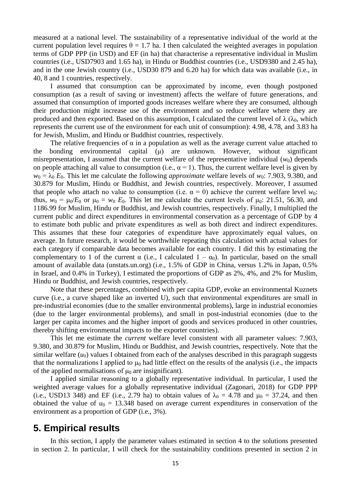measured at a national level. The sustainability of a representative individual of the world at the current population level requires  $\theta = 1.7$  ha. I then calculated the weighted averages in population terms of GDP PPP (in USD) and EF (in ha) that characterise a representative individual in Muslim countries (i.e., USD7903 and 1.65 ha), in Hindu or Buddhist countries (i.e., USD9380 and 2.45 ha), and in the one Jewish country (i.e., USD30 879 and 6.20 ha) for which data was available (i.e., in 40, 8 and 1 countries, respectively.

I assumed that consumption can be approximated by income, even though postponed consumption (as a result of saving or investment) affects the welfare of future generations, and assumed that consumption of imported goods increases welfare where they are consumed, although their production might increase use of the environment and so reduce welfare where they are produced and then exported. Based on this assumption, I calculated the current level of  $\lambda$  ( $\lambda_0$ , which represents the current use of the environment for each unit of consumption): 4.98, 4.78, and 3.83 ha for Jewish, Muslim, and Hindu or Buddhist countries, respectively.

The relative frequencies of  $\alpha$  in a population as well as the average current value attached to the bonding environmental capital (μ) are unknown. However, without significant misrepresentation, I assumed that the current welfare of the representative individual  $(w_0)$  depends on people attaching all value to consumption (i.e.,  $\alpha = 1$ ). Thus, the current welfare level is given by  $w_0 = \lambda_0 E_0$ . This let me calculate the following *approximate* welfare levels of  $w_0$ : 7.903, 9.380, and 30.879 for Muslim, Hindu or Buddhist, and Jewish countries, respectively. Moreover, I assumed that people who attach no value to consumption (i.e.  $\alpha = 0$ ) achieve the current welfare level  $w_0$ : thus,  $w_0 = \mu_0/E_0$  or  $\mu_0 = w_0 E_0$ . This let me calculate the current levels of  $\mu_0$ : 21.51, 56.30, and 1186.99 for Muslim, Hindu or Buddhist, and Jewish countries, respectively. Finally, I multiplied the current public and direct expenditures in environmental conservation as a percentage of GDP by 4 to estimate both public and private expenditures as well as both direct and indirect expenditures. This assumes that these four categories of expenditure have approximately equal values, on average. In future research, it would be worthwhile repeating this calculation with actual values for each category if comparable data becomes available for each country. I did this by estimating the complementary to 1 of the current  $\alpha$  (i.e., I calculated  $1 - \alpha_0$ ). In particular, based on the small amount of available data (unstats.un.org) (i.e., 1.5% of GDP in China, versus 1.2% in Japan, 0.5% in Israel, and 0.4% in Turkey), I estimated the proportions of GDP as 2%, 4%, and 2% for Muslim, Hindu or Buddhist, and Jewish countries, respectively.

Note that these percentages, combined with per capita GDP, evoke an environmental Kuznets curve (i.e., a curve shaped like an inverted U), such that environmental expenditures are small in pre-industrial economies (due to the smaller environmental problems), large in industrial economies (due to the larger environmental problems), and small in post-industrial economies (due to the larger per capita incomes and the higher import of goods and services produced in other countries, thereby shifting environmental impacts to the exporter countries).

This let me estimate the *current* welfare level consistent with all parameter values: 7.903, 9.380, and 30.879 for Muslim, Hindu or Buddhist, and Jewish countries, respectively. Note that the similar welfare  $(u_0)$  values I obtained from each of the analyses described in this paragraph suggests that the normalizations I applied to  $\mu_0$  had little effect on the results of the analysis (i.e., the impacts of the applied normalisations of  $\mu_0$  are insignificant).

I applied similar reasoning to a globally representative individual. In particular, I used the weighted average values for a globally representative individual (Zagonari, 2018) for GDP PPP (i.e., USD13 348) and EF (i.e., 2.79 ha) to obtain values of  $\lambda_0 = 4.78$  and  $\mu_0 = 37.24$ , and then obtained the value of  $u_0 = 13.348$  based on average current expenditures in conservation of the environment as a proportion of GDP (i.e., 3%).

## **5. Empirical results**

In this section, I apply the parameter values estimated in section 4 to the solutions presented in section 2. In particular, I will check for the sustainability conditions presented in section 2 in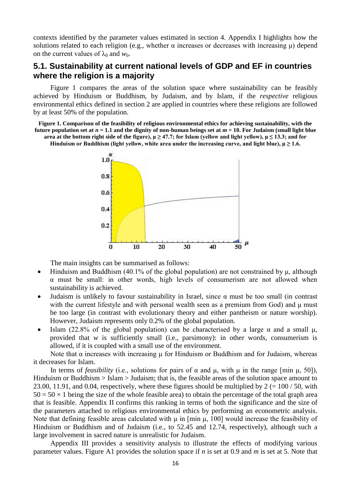contexts identified by the parameter values estimated in section 4. Appendix I highlights how the solutions related to each religion (e.g., whether  $\alpha$  increases or decreases with increasing  $\mu$ ) depend on the current values of  $\lambda_0$  and  $w_0$ .

## **5.1. Sustainability at current national levels of GDP and EF in countries where the religion is a majority**

Figure 1 compares the areas of the solution space where sustainability can be feasibly achieved by Hinduism or Buddhism, by Judaism, and by Islam, if the *respective* religious environmental ethics defined in section 2 are applied in countries where these religions are followed by at least 50% of the population.

**Figure 1. Comparison of the feasibility of religious environmental ethics for achieving sustainability, with the future population set at**  $n = 1.1$  **and the dignity of non-human beings set at**  $m = 10$ **. For Judaism (small light blue area at the bottom right side of the figure),**  $\mu \ge 47.7$ **; for Islam (yellow and light yellow),**  $\mu \le 13.3$ **; and for** 

**Hinduism or Buddhism (light yellow, white area under the increasing curve, and light blue),**  $\mu \ge 1.6$ **.** 



The main insights can be summarised as follows:

- Hinduism and Buddhism (40.1% of the global population) are not constrained by μ, although α must be small: in other words, high levels of consumerism are not allowed when sustainability is achieved.
- Judaism is unlikely to favour sustainability in Israel, since  $\alpha$  must be too small (in contrast with the current lifestyle and with personal wealth seen as a premium from God) and  $\mu$  must be too large (in contrast with evolutionary theory and either pantheism or nature worship). However, Judaism represents only 0.2% of the global population.
- Islam (22.8% of the global population) can be characterised by a large  $\alpha$  and a small  $\mu$ . provided that *w* is sufficiently small (i.e., parsimony): in other words, consumerism is allowed, if it is coupled with a small use of the environment.

Note that  $α$  increases with increasing  $μ$  for Hinduism or Buddhism and for Judaism, whereas it decreases for Islam.

In terms of *feasibility* (i.e., solutions for pairs of  $\alpha$  and  $\mu$ , with  $\mu$  in the range [min  $\mu$ , 50]), Hinduism or Buddhism > Islam > Judaism; that is, the feasible areas of the solution space amount to 23.00, 11.91, and 0.04, respectively, where these figures should be multiplied by 2 (=  $100/50$ , with  $50 = 50 \times 1$  being the size of the whole feasible area) to obtain the percentage of the total graph area that is feasible. Appendix II confirms this ranking in terms of both the significance and the size of the parameters attached to religious environmental ethics by performing an econometric analysis. Note that defining feasible areas calculated with  $\mu$  in [min  $\mu$ , 100] would increase the feasibility of Hinduism or Buddhism and of Judaism (i.e., to 52.45 and 12.74, respectively), although such a large involvement in sacred nature is unrealistic for Judaism.

Appendix III provides a sensitivity analysis to illustrate the effects of modifying various parameter values. Figure A1 provides the solution space if *n* is set at 0.9 and *m* is set at 5. Note that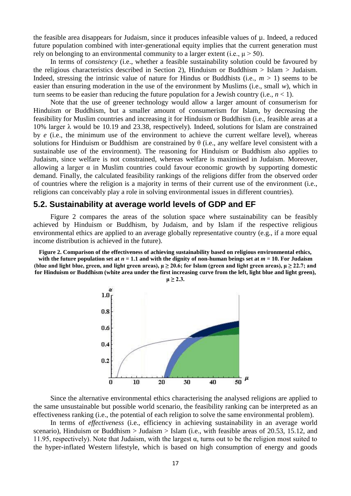the feasible area disappears for Judaism, since it produces infeasible values of µ. Indeed, a reduced future population combined with inter-generational equity implies that the current generation must rely on belonging to an environmental community to a larger extent (i.e.,  $\mu$  > 50).

In terms of *consistency* (i.e., whether a feasible sustainability solution could be favoured by the religious characteristics described in Section 2), Hinduism or Buddhism  $>$  Islam  $>$  Judaism. Indeed, stressing the intrinsic value of nature for Hindus or Buddhists (i.e.,  $m > 1$ ) seems to be easier than ensuring moderation in the use of the environment by Muslims (i.e., small *w*), which in turn seems to be easier than reducing the future population for a Jewish country (i.e.,  $n < 1$ ).

Note that the use of greener technology would allow a larger amount of consumerism for Hinduism or Buddhism, but a smaller amount of consumerism for Islam, by decreasing the feasibility for Muslim countries and increasing it for Hinduism or Buddhism (i.e., feasible areas at a 10% larger λ would be 10.19 and 23.38, respectively). Indeed, solutions for Islam are constrained by *e* (i.e., the minimum use of the environment to achieve the current welfare level), whereas solutions for Hinduism or Buddhism are constrained by  $\theta$  (i.e., any welfare level consistent with a sustainable use of the environment). The reasoning for Hinduism or Buddhism also applies to Judaism, since welfare is not constrained, whereas welfare is maximised in Judaism. Moreover, allowing a larger  $\alpha$  in Muslim countries could favour economic growth by supporting domestic demand. Finally, the calculated feasibility rankings of the religions differ from the observed order of countries where the religion is a majority in terms of their current use of the environment (i.e., religions can conceivably play a role in solving environmental issues in different countries).

## **5.2. Sustainability at average world levels of GDP and EF**

Figure 2 compares the areas of the solution space where sustainability can be feasibly achieved by Hinduism or Buddhism, by Judaism, and by Islam if the respective religious environmental ethics are applied to an average globally representative country (e.g., if a more equal income distribution is achieved in the future).

**Figure 2. Comparison of the effectiveness of achieving sustainability based on religious environmental ethics,**  with the future population set at  $n = 1.1$  and with the dignity of non-human beings set at  $m = 10$ . For Judaism (blue and light blue, green, and light green areas),  $\mu \ge 20.6$ ; for Islam (green and light green areas),  $\mu \ge 22.7$ ; and **for Hinduism or Buddhism (white area under the first increasing curve from the left, light blue and light green),** 



Since the alternative environmental ethics characterising the analysed religions are applied to the same unsustainable but possible world scenario, the feasibility ranking can be interpreted as an effectiveness ranking (i.e., the potential of each religion to solve the same environmental problem).

In terms of *effectiveness* (i.e., efficiency in achieving sustainability in an average world scenario), Hinduism or Buddhism > Judaism > Islam (i.e., with feasible areas of 20.53, 15.12, and 11.95, respectively). Note that Judaism, with the largest  $\alpha$ , turns out to be the religion most suited to the hyper-inflated Western lifestyle, which is based on high consumption of energy and goods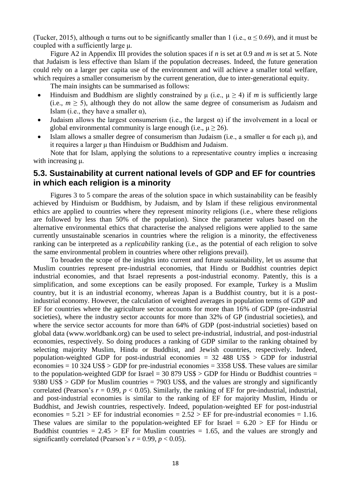(Tucker, 2015), although  $\alpha$  turns out to be significantly smaller than 1 (i.e.,  $\alpha$  < 0.69), and it must be coupled with a sufficiently large μ.

Figure A2 in Appendix III provides the solution spaces if *n* is set at 0.9 and *m* is set at 5. Note that Judaism is less effective than Islam if the population decreases. Indeed, the future generation could rely on a larger per capita use of the environment and will achieve a smaller total welfare, which requires a smaller consumerism by the current generation, due to inter-generational equity.

The main insights can be summarised as follows:

- Hinduism and Buddhism are slightly constrained by  $\mu$  (i.e.,  $\mu \ge 4$ ) if *m* is sufficiently large (i.e.,  $m \geq 5$ ), although they do not allow the same degree of consumerism as Judaism and Islam (i.e., they have a smaller  $\alpha$ ),
- Judaism allows the largest consumerism (i.e., the largest  $\alpha$ ) if the involvement in a local or global environmental community is large enough (i.e.,  $\mu \ge 26$ ).
- Islam allows a smaller degree of consumerism than Judaism (i.e., a smaller α for each  $μ$ ), and it requires a larger μ than Hinduism or Buddhism and Judaism.

Note that for Islam, applying the solutions to a representative country implies  $\alpha$  increasing with increasing μ.

# **5.3. Sustainability at current national levels of GDP and EF for countries in which each religion is a minority**

Figures 3 to 5 compare the areas of the solution space in which sustainability can be feasibly achieved by Hinduism or Buddhism, by Judaism, and by Islam if these religious environmental ethics are applied to countries where they represent minority religions (i.e., where these religions are followed by less than 50% of the population). Since the parameter values based on the alternative environmental ethics that characterise the analysed religions were applied to the same currently unsustainable scenarios in countries where the religion is a minority, the effectiveness ranking can be interpreted as a *replicability* ranking (i.e., as the potential of each religion to solve the same environmental problem in countries where other religions prevail).

To broaden the scope of the insights into current and future sustainability, let us assume that Muslim countries represent pre-industrial economies, that Hindu or Buddhist countries depict industrial economies, and that Israel represents a post-industrial economy. Patently, this is a simplification, and some exceptions can be easily proposed. For example, Turkey is a Muslim country, but it is an industrial economy, whereas Japan is a Buddhist country, but it is a postindustrial economy. However, the calculation of weighted averages in population terms of GDP and EF for countries where the agriculture sector accounts for more than 16% of GDP (pre-industrial societies), where the industry sector accounts for more than 32% of GP (industrial societies), and where the service sector accounts for more than 64% of GDP (post-industrial societies) based on global data (www.worldbank.org) can be used to select pre-industrial, industrial, and post-industrial economies, respectively. So doing produces a ranking of GDP similar to the ranking obtained by selecting majority Muslim, Hindu or Buddhist, and Jewish countries, respectively. Indeed, population-weighted GDP for post-industrial economies  $= 32,488,US$ \$  $>$  GDP for industrial economies  $= 10$  324 US\$  $>$  GDP for pre-industrial economies  $= 3358$  US\$. These values are similar to the population-weighted GDP for Israel =  $30\,879\,USS > GDP$  for Hindu or Buddhist countries = 9380 US\$ > GDP for Muslim countries = 7903 US\$, and the values are strongly and significantly correlated (Pearson's  $r = 0.99$ ,  $p < 0.05$ ). Similarly, the ranking of EF for pre-industrial, industrial, and post-industrial economies is similar to the ranking of EF for majority Muslim, Hindu or Buddhist, and Jewish countries, respectively. Indeed, population-weighted EF for post-industrial economies =  $5.21$  > EF for industrial economies =  $2.52$  > EF for pre-industrial economies = 1.16. These values are similar to the population-weighted EF for Israel =  $6.20 > EF$  for Hindu or Buddhist countries  $= 2.45 > EF$  for Muslim countries  $= 1.65$ , and the values are strongly and significantly correlated (Pearson's  $r = 0.99$ ,  $p < 0.05$ ).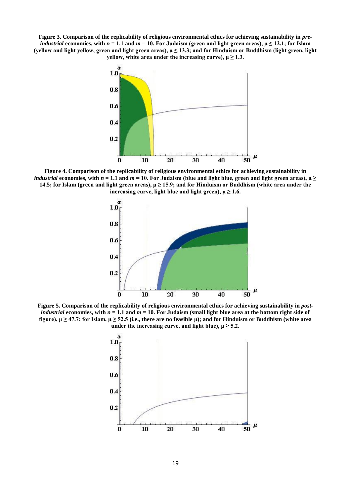**Figure 3. Comparison of the replicability of religious environmental ethics for achieving sustainability in** *preindustrial* economies, with  $n = 1.1$  and  $m = 10$ . For Judaism (green and light green areas),  $\mu \le 12.1$ ; for Islam **(yellow and light yellow, green and light green areas), μ ≤ 13.3; and for Hinduism or Buddhism (light green, light yellow, white area under the increasing curve),**  $\mu \ge 1.3$ **.** 



**Figure 4. Comparison of the replicability of religious environmental ethics for achieving sustainability in**  *industrial* economies, with  $n = 1.1$  and  $m = 10$ . For Judaism (blue and light blue, green and light green areas),  $\mu \geq$ **14.5; for Islam (green and light green areas), μ ≥ 15.9; and for Hinduism or Buddhism (white area under the increasing curve, light blue and light green),**  $\mu \ge 1.6$ **.** 



**Figure 5. Comparison of the replicability of religious environmental ethics for achieving sustainability in** *postindustrial* economies, with  $n = 1.1$  and  $m = 10$ . For Judaism (small light blue area at the bottom right side of **figure), μ ≥ 47.7; for Islam, μ ≥ 52.5 (i.e., there are no feasible μ); and for Hinduism or Buddhism (white area under** the increasing curve, and light blue),  $\mu \ge 5.2$ .

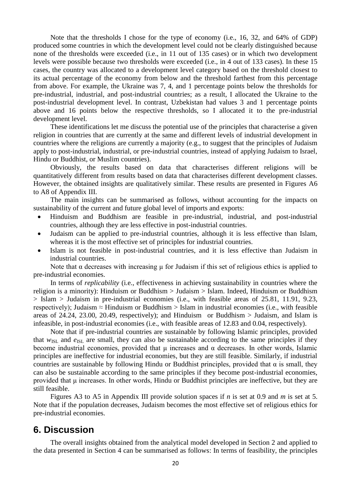Note that the thresholds I chose for the type of economy (i.e., 16, 32, and 64% of GDP) produced some countries in which the development level could not be clearly distinguished because none of the thresholds were exceeded (i.e., in 11 out of 135 cases) or in which two development levels were possible because two thresholds were exceeded (i.e., in 4 out of 133 cases). In these 15 cases, the country was allocated to a development level category based on the threshold closest to its actual percentage of the economy from below and the threshold farthest from this percentage from above. For example, the Ukraine was 7, 4, and 1 percentage points below the thresholds for pre-industrial, industrial, and post-industrial countries; as a result, I allocated the Ukraine to the post-industrial development level. In contrast, Uzbekistan had values 3 and 1 percentage points above and 16 points below the respective thresholds, so I allocated it to the pre-industrial development level.

These identifications let me discuss the potential use of the principles that characterise a given religion in countries that are currently at the same and different levels of industrial development in countries where the religions are currently a majority (e.g., to suggest that the principles of Judaism apply to post-industrial, industrial, or pre-industrial countries, instead of applying Judaism to Israel, Hindu or Buddhist, or Muslim countries).

Obviously, the results based on data that characterises different religions will be quantitatively different from results based on data that characterises different development classes. However, the obtained insights are qualitatively similar. These results are presented in Figures A6 to A8 of Appendix III.

The main insights can be summarised as follows, without accounting for the impacts on sustainability of the current and future global level of imports and exports:

- Hinduism and Buddhism are feasible in pre-industrial, industrial, and post-industrial countries, although they are less effective in post-industrial countries.
- Judaism can be applied to pre-industrial countries, although it is less effective than Islam, whereas it is the most effective set of principles for industrial countries.
- Islam is not feasible in post-industrial countries, and it is less effective than Judaism in industrial countries.

Note that α decreases with increasing  $\mu$  for Judaism if this set of religious ethics is applied to pre-industrial economies.

In terms of *replicability* (i.e., effectiveness in achieving sustainability in countries where the religion is a minority): Hinduism or Buddhism > Judaism > Islam. Indeed, Hinduism or Buddhism > Islam > Judaism in pre-industrial economies (i.e., with feasible areas of 25.81, 11.91, 9.23, respectively); Judaism  $\approx$  Hinduism or Buddhism  $>$  Islam in industrial economies (i.e., with feasible areas of 24.24, 23.00, 20.49, respectively); and Hinduism or Buddhism  $>$  Judaism, and Islam is infeasible, in post-industrial economies (i.e., with feasible areas of 12.83 and 0.04, respectively).

Note that if pre-industrial countries are sustainable by following Islamic principles, provided that  $w_{\text{ISL}}$  and  $e_{\text{ISL}}$  are small, they can also be sustainable according to the same principles if they become industrial economies, provided that  $\mu$  increases and  $\alpha$  decreases. In other words, Islamic principles are ineffective for industrial economies, but they are still feasible. Similarly, if industrial countries are sustainable by following Hindu or Buddhist principles, provided that  $\alpha$  is small, they can also be sustainable according to the same principles if they become post-industrial economies, provided that μ increases. In other words, Hindu or Buddhist principles are ineffective, but they are still feasible.

Figures A3 to A5 in Appendix III provide solution spaces if *n* is set at 0.9 and *m* is set at 5. Note that if the population decreases, Judaism becomes the most effective set of religious ethics for pre-industrial economies.

# **6. Discussion**

The overall insights obtained from the analytical model developed in Section 2 and applied to the data presented in Section 4 can be summarised as follows: In terms of feasibility, the principles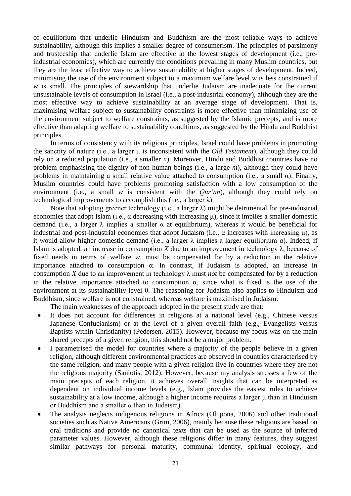of equilibrium that underlie Hinduism and Buddhism are the most reliable ways to achieve sustainability, although this implies a smaller degree of consumerism. The principles of parsimony and trusteeship that underlie Islam are effective at the lowest stages of development (i.e., preindustrial economies), which are currently the conditions prevailing in many Muslim countries, but they are the least effective way to achieve sustainability at higher stages of development. Indeed, minimising the use of the environment subject to a maximum welfare level *w* is less constrained if w is small. The principles of stewardship that underlie Judaism are inadequate for the current unsustainable levels of consumption in Israel (i.e., a post-industrial economy), although they are the most effective way to achieve sustainability at an average stage of development. That is, maximising welfare subject to sustainability constraints is more effective than minimizing use of the environment subject to welfare constraints, as suggested by the Islamic precepts, and is more effective than adapting welfare to sustainability conditions, as suggested by the Hindu and Buddhist principles.

In terms of consistency with its religious principles, Israel could have problems in promoting the sanctity of nature (i.e., a larger μ is inconsistent with the *Old Testament*), although they could rely on a reduced population (i.e., a smaller *n*). Moreover, Hindu and Buddhist countries have no problem emphasising the dignity of non-human beings (i.e., a large *m*), although they could have problems in maintaining a small relative value attached to consumption (i.e., a small  $\alpha$ ). Finally, Muslim countries could have problems promoting satisfaction with a low consumption of the environment (i.e., a small *w* is consistent with the *Our'an*), although they could rely on technological improvements to accomplish this (i.e., a larger  $\lambda$ ).

Note that adopting greener technology (i.e., a larger  $\lambda$ ) might be detrimental for pre-industrial economies that adopt Islam (i.e.,  $\alpha$  decreasing with increasing  $\mu$ ), since it implies a smaller domestic demand (i.e., a larger  $\lambda$  implies a smaller  $\alpha$  at equilibrium), whereas it would be beneficial for industrial and post-industrial economies that adopt Judaism (i.e.,  $\alpha$  increases with increasing  $\mu$ ), as it would allow higher domestic demand (i.e., a larger  $\lambda$  implies a larger equilibrium α). Indeed, if Islam is adopted, an increase in consumption *X* due to an improvement in technology  $\lambda$ , because of fixed needs in terms of welfare *w*, must be compensated for by a reduction in the relative importance attached to consumption  $\alpha$ . In contrast, if Judaism is adopted, an increase in consumption *X* due to an improvement in technology  $\lambda$  must *not* be compensated for by a reduction in the relative importance attached to consumption  $\alpha$ , since what is fixed is the use of the environment at its sustainability level θ. The reasoning for Judaism also applies to Hinduism and Buddhism, since welfare is not constrained, whereas welfare is maximised in Judaism.

The main weaknesses of the approach adopted in the present study are that:

- It does not account for differences in religions at a national level (e.g., Chinese versus Japanese Confucianism) or at the level of a given overall faith (e.g., Evangelists versus Baptists within Christianity) (Pedersen, 2015). However, because my focus was on the main shared precepts of a given religion, this should not be a major problem.
- I parametrised the model for countries where a majority of the people believe in a given religion, although different environmental practices are observed in countries characterised by the same religion, and many people with a given religion live in countries where they are not the religious majority (Saniotis, 2012). However, because my analysis stresses a few of the main precepts of each religion, it achieves overall insights that can be interpreted as dependent on individual income levels (e.g., Islam provides the easiest rules to achieve sustainability at a low income, although a higher income requires a larger μ than in Hinduism or Buddhism and a smaller  $\alpha$  than in Judaism).
- The analysis neglects indigenous religions in Africa (Olupona, 2006) and other traditional societies such as Native Americans (Grim, 2006), mainly because these religions are based on oral traditions and provide no canonical texts that can be used as the source of inferred parameter values. However, although these religions differ in many features, they suggest similar pathways for personal maturity, communal identity, spiritual ecology, and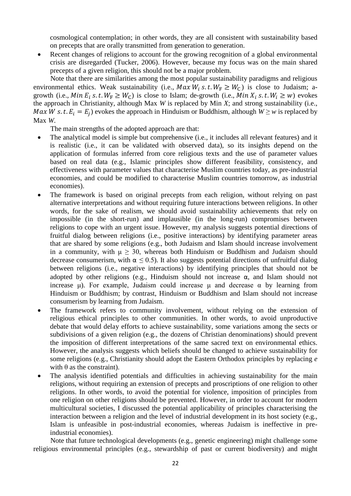cosmological contemplation; in other words, they are all consistent with sustainability based on precepts that are orally transmitted from generation to generation.

 Recent changes of religions to account for the growing recognition of a global environmental crisis are disregarded (Tucker, 2006). However, because my focus was on the main shared precepts of a given religion, this should not be a major problem.

Note that there are similarities among the most popular sustainability paradigms and religious environmental ethics. Weak sustainability (i.e.,  $Max W_i$  s.t.  $W_F \geq W_C$ ) is close to Judaism; agrowth (i.e.,  $Min E_i$  s. t.  $W_F \geq W_C$ ) is close to Islam; de-growth (i.e.,  $Min X_i$  s. t.  $W_i \geq W$ ) evokes the approach in Christianity, although Max *W* is replaced by Min *X*; and strong sustainability (i.e., *Max W s.t.*  $E_i = E_j$ ) evokes the approach in Hinduism or Buddhism, although  $W \geq w$  is replaced by Max *W*.

The main strengths of the adopted approach are that:

- The analytical model is simple but comprehensive (i.e., it includes all relevant features) and it is realistic (i.e., it can be validated with observed data), so its insights depend on the application of formulas inferred from core religious texts and the use of parameter values based on real data (e.g., Islamic principles show different feasibility, consistency, and effectiveness with parameter values that characterise Muslim countries today, as pre-industrial economies, and could be modified to characterise Muslim countries tomorrow, as industrial economies).
- The framework is based on original precepts from each religion, without relying on past alternative interpretations and without requiring future interactions between religions. In other words, for the sake of realism, we should avoid sustainability achievements that rely on impossible (in the short-run) and implausible (in the long-run) compromises between religions to cope with an urgent issue. However, my analysis suggests potential directions of fruitful dialog between religions (i.e., positive interactions) by identifying parameter areas that are shared by some religions (e.g., both Judaism and Islam should increase involvement in a community, with  $\mu \geq 30$ , whereas both Hinduism or Buddhism and Judaism should decrease consumerism, with  $\alpha \leq 0.5$ ). It also suggests potential directions of unfruitful dialog between religions (i.e., negative interactions) by identifying principles that should not be adopted by other religions (e.g., Hinduism should not increase  $\alpha$ , and Islam should not increase  $\mu$ ). For example, Judaism could increase  $\mu$  and decrease  $\alpha$  by learning from Hinduism or Buddhism; by contrast, Hinduism or Buddhism and Islam should not increase consumerism by learning from Judaism.
- The framework refers to community involvement, without relying on the extension of religious ethical principles to other communities. In other words, to avoid unproductive debate that would delay efforts to achieve sustainability, some variations among the sects or subdivisions of a given religion (e.g., the dozens of Christian denominations) should prevent the imposition of different interpretations of the same sacred text on environmental ethics. However, the analysis suggests which beliefs should be changed to achieve sustainability for some religions (e.g., Christianity should adopt the Eastern Orthodox principles by replacing *e* with  $\theta$  as the constraint).
- The analysis identified potentials and difficulties in achieving sustainability for the main religions, without requiring an extension of precepts and proscriptions of one religion to other religions. In other words, to avoid the potential for violence, imposition of principles from one religion on other religions should be prevented. However, in order to account for modern multicultural societies, I discussed the potential applicability of principles characterising the interaction between a religion and the level of industrial development in its host society (e.g., Islam is unfeasible in post-industrial economies, whereas Judaism is ineffective in preindustrial economies).

Note that future technological developments (e.g., genetic engineering) might challenge some religious environmental principles (e.g., stewardship of past or current biodiversity) and might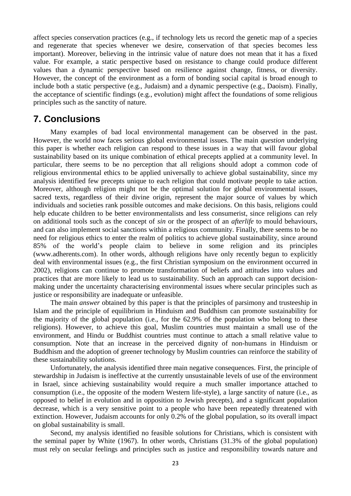affect species conservation practices (e.g., if technology lets us record the genetic map of a species and regenerate that species whenever we desire, conservation of that species becomes less important). Moreover, believing in the intrinsic value of nature does not mean that it has a fixed value. For example, a static perspective based on resistance to change could produce different values than a dynamic perspective based on resilience against change, fitness, or diversity. However, the concept of the environment as a form of bonding social capital is broad enough to include both a static perspective (e.g., Judaism) and a dynamic perspective (e.g., Daoism). Finally, the acceptance of scientific findings (e.g., evolution) might affect the foundations of some religious principles such as the sanctity of nature.

# **7. Conclusions**

Many examples of bad local environmental management can be observed in the past. However, the world now faces serious global environmental issues. The main *question* underlying this paper is whether each religion can respond to these issues in a way that will favour global sustainability based on its unique combination of ethical precepts applied at a community level. In particular, there seems to be no perception that all religions should adopt a common code of religious environmental ethics to be applied universally to achieve global sustainability, since my analysis identified few precepts unique to each religion that could motivate people to take action. Moreover, although religion might not be the optimal solution for global environmental issues, sacred texts, regardless of their divine origin, represent the major source of values by which individuals and societies rank possible outcomes and make decisions. On this basis, religions could help educate children to be better environmentalists and less consumerist, since religions can rely on additional tools such as the concept of *sin* or the prospect of an *afterlife* to mould behaviours, and can also implement social sanctions within a religious community. Finally, there seems to be no need for religious ethics to enter the realm of politics to achieve global sustainability, since around 85% of the world's people claim to believe in some religion and its principles (www.adherents.com). In other words, although religions have only recently begun to explicitly deal with environmental issues (e.g., the first Christian symposium on the environment occurred in 2002), religions can continue to promote transformation of beliefs and attitudes into values and practices that are more likely to lead us to sustainability. Such an approach can support decisionmaking under the uncertainty characterising environmental issues where secular principles such as justice or responsibility are inadequate or unfeasible.

The main *answer* obtained by this paper is that the principles of parsimony and trusteeship in Islam and the principle of equilibrium in Hinduism and Buddhism can promote sustainability for the majority of the global population (i.e., for the 62.9% of the population who belong to these religions). However, to achieve this goal, Muslim countries must maintain a small use of the environment, and Hindu or Buddhist countries must continue to attach a small relative value to consumption. Note that an increase in the perceived dignity of non-humans in Hinduism or Buddhism and the adoption of greener technology by Muslim countries can reinforce the stability of these sustainability solutions.

Unfortunately, the analysis identified three main negative consequences. First, the principle of stewardship in Judaism is ineffective at the currently unsustainable levels of use of the environment in Israel, since achieving sustainability would require a much smaller importance attached to consumption (i.e., the opposite of the modern Western life-style), a large sanctity of nature (i.e., as opposed to belief in evolution and in opposition to Jewish precepts), and a significant population decrease, which is a very sensitive point to a people who have been repeatedly threatened with extinction. However, Judaism accounts for only 0.2% of the global population, so its overall impact on global sustainability is small.

Second, my analysis identified no feasible solutions for Christians, which is consistent with the seminal paper by White (1967). In other words, Christians (31.3% of the global population) must rely on secular feelings and principles such as justice and responsibility towards nature and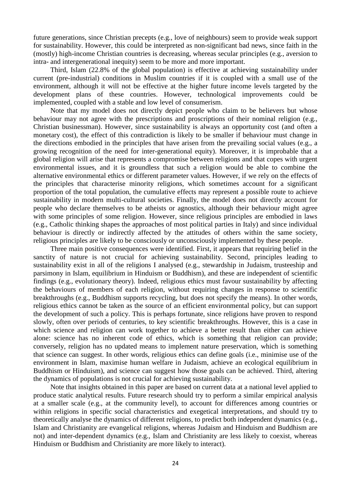future generations, since Christian precepts (e.g., love of neighbours) seem to provide weak support for sustainability. However, this could be interpreted as non-significant bad news, since faith in the (mostly) high-income Christian countries is decreasing, whereas secular principles (e.g., aversion to intra- and intergenerational inequity) seem to be more and more important.

Third, Islam (22.8% of the global population) is effective at achieving sustainability under current (pre-industrial) conditions in Muslim countries if it is coupled with a small use of the environment, although it will not be effective at the higher future income levels targeted by the development plans of these countries. However, technological improvements could be implemented, coupled with a stable and low level of consumerism.

Note that my model does not directly depict people who claim to be believers but whose behaviour may not agree with the prescriptions and proscriptions of their nominal religion (e.g., Christian businessman). However, since sustainability is always an opportunity cost (and often a monetary cost), the effect of this contradiction is likely to be smaller if behaviour must change in the directions embodied in the principles that have arisen from the prevailing social values (e.g., a growing recognition of the need for inter-generational equity). Moreover, it is improbable that a global religion will arise that represents a compromise between religions and that copes with urgent environmental issues, and it is groundless that such a religion would be able to combine the alternative environmental ethics or different parameter values. However, if we rely on the effects of the principles that characterise minority religions, which sometimes account for a significant proportion of the total population, the cumulative effects may represent a possible route to achieve sustainability in modern multi-cultural societies. Finally, the model does not directly account for people who declare themselves to be atheists or agnostics, although their behaviour might agree with some principles of some religion. However, since religious principles are embodied in laws (e.g., Catholic thinking shapes the approaches of most political parties in Italy) and since individual behaviour is directly or indirectly affected by the attitudes of others within the same society, religious principles are likely to be consciously or unconsciously implemented by these people.

Three main positive consequences were identified. First, it appears that requiring belief in the sanctity of nature is not crucial for achieving sustainability. Second, principles leading to sustainability exist in all of the religions I analysed (e.g., stewardship in Judaism, trusteeship and parsimony in Islam, equilibrium in Hinduism or Buddhism), and these are independent of scientific findings (e.g., evolutionary theory). Indeed, religious ethics must favour sustainability by affecting the behaviours of members of each religion, without requiring changes in response to scientific breakthroughs (e.g., Buddhism supports recycling, but does not specify the means). In other words, religious ethics cannot be taken as the source of an efficient environmental policy, but can support the development of such a policy. This is perhaps fortunate, since religions have proven to respond slowly, often over periods of centuries, to key scientific breakthroughs. However, this is a case in which science and religion can work together to achieve a better result than either can achieve alone: science has no inherent code of ethics, which is something that religion can provide; conversely, religion has no updated means to implement nature preservation, which is something that science can suggest. In other words, religious ethics can define goals (i.e., minimise use of the environment in Islam, maximise human welfare in Judaism, achieve an ecological equilibrium in Buddhism or Hinduism), and science can suggest how those goals can be achieved. Third, altering the dynamics of populations is not crucial for achieving sustainability.

Note that insights obtained in this paper are based on current data at a national level applied to produce static analytical results. Future research should try to perform a similar empirical analysis at a smaller scale (e.g., at the community level), to account for differences among countries or within religions in specific social characteristics and exegetical interpretations, and should try to theoretically analyse the dynamics of different religions, to predict both independent dynamics (e.g., Islam and Christianity are evangelical religions, whereas Judaism and Hinduism and Buddhism are not) and inter-dependent dynamics (e.g., Islam and Christianity are less likely to coexist, whereas Hinduism or Buddhism and Christianity are more likely to interact).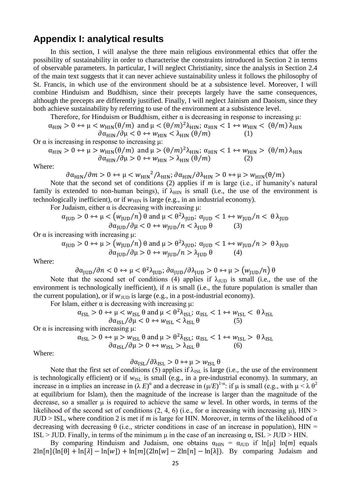# **Appendix I: analytical results**

In this section, I will analyse the three main religious environmental ethics that offer the possibility of sustainability in order to characterise the constraints introduced in Section 2 in terms of observable parameters. In particular, I will neglect Christianity, since the analysis in Section 2.4 of the main text suggests that it can never achieve sustainability unless it follows the philosophy of St. Francis, in which use of the environment should be at a subsistence level. Moreover, I will combine Hinduism and Buddhism, since their precepts largely have the same consequences, although the precepts are differently justified. Finally, I will neglect Jainism and Daoism, since they both achieve sustainability by referring to use of the environment at a subsistence level.

Therefore, for Hinduism or Buddhism, either  $\alpha$  is decreasing in response to increasing  $\mu$ :

$$
\alpha_{\text{HIN}} > 0 \leftrightarrow \mu < w_{\text{HIN}}(\theta/m)
$$
 and  $\mu < (\theta/m)^2 \lambda_{\text{HIN}}$ ;  $\alpha_{\text{HIN}} < 1 \leftrightarrow w_{\text{HIN}} < (\theta/m) \lambda_{\text{HIN}}$ 

$$
\partial \alpha_{\rm HIN} / \partial \mu < 0 \leftrightarrow w_{\rm HIN} < \lambda_{\rm HIN} \left( \theta / m \right) \tag{1}
$$

Or  $\alpha$  is increasing in response to increasing μ:

$$
\alpha_{\rm HIN} > 0 \leftrightarrow \mu > w_{\rm HIN}(\theta/m) \text{ and } \mu > (\theta/m)^2 \lambda_{\rm HIN}; \alpha_{\rm HIN} < 1 \leftrightarrow w_{\rm HIN} > (\theta/m) \lambda_{\rm HIN}
$$
  

$$
\partial \alpha_{\rm HIN} / \partial \mu > 0 \leftrightarrow w_{\rm HIN} > \lambda_{\rm HIN} (\theta/m) \qquad (2)
$$

Where:

 $\partial \alpha_{\text{HIN}}/\partial m > 0 \leftrightarrow \mu < w_{\text{HIN}}^2/\lambda_{\text{HIN}}; \partial \alpha_{\text{HIN}}/\partial \lambda_{\text{HIN}} > 0 \leftrightarrow \mu > w_{\text{HIN}}(\theta/m)$ 

Note that the second set of conditions (2) applies if *m* is large (i.e., if humanity's natural family is extended to non-human beings), if  $\lambda_{\text{HIN}}$  is small (i.e., the use of the environment is technologically inefficient), or if  $W_{\text{HIN}}$  is large (e.g., in an industrial economy).

For Judaism, either  $α$  is decreasing with increasing  $μ$ :

$$
\alpha_{\text{JUD}} > 0 \leftrightarrow \mu < \left( w_{\text{JUD}} / n \right) \theta \text{ and } \mu < \theta^2 \lambda_{\text{JUD}}; \ \alpha_{\text{JUD}} < 1 \leftrightarrow w_{\text{JUD}} / n < \theta \lambda_{\text{JUD}} \theta \quad (3)
$$

Or  $\alpha$  is increasing with increasing μ:

 $\alpha_{\text{JUD}} > 0 \leftrightarrow \mu > (w_{\text{JUD}}/n) \theta$  and  $\mu > \theta^2 \lambda_{\text{JUD}}$ ;  $\alpha_{\text{JUD}} < 1 \leftrightarrow w_{\text{JUD}}/n > \theta \lambda_{\text{JUD}}$  $\partial \alpha_{\text{IUD}}/\partial \mu > 0 \leftrightarrow w_{\text{IUD}}/n > \lambda_{\text{IUD}} \theta$  (4)

Where:

$$
\frac{\partial \alpha_{\text{JUD}}}{\partial n} < 0 \leftrightarrow \mu < \frac{\theta^2 \lambda_{\text{JUD}}}{\partial \alpha_{\text{JUD}}} \quad \frac{\partial \alpha_{\text{JUD}}}{\partial \lambda_{\text{JUD}}} > 0 \leftrightarrow \mu > \left(\frac{w_{\text{JUD}}}{n}\right) \theta
$$

Note that the second set of conditions (4) applies if  $\lambda_{JUD}$  is small (i.e., the use of the environment is technologically inefficient), if *n* is small (i.e., the future population is smaller than the current population), or if  $w_{JUD}$  is large (e.g., in a post-industrial economy).

For Islam, either  $\alpha$  is decreasing with increasing  $\mu$ :

$$
\alpha_{\mathrm{ISL}} > 0 \leftrightarrow \mu < w_{\mathrm{ISL}} \theta \text{ and } \mu < \theta^2 \lambda_{\mathrm{ISL}}; \ \alpha_{\mathrm{ISL}} < 1 \leftrightarrow w_{\mathrm{ISL}} < \theta \lambda_{\mathrm{ISL}} < \theta \alpha_{\mathrm{ISL}} / \theta \mu < 0 \leftrightarrow w_{\mathrm{ISL}} < \lambda_{\mathrm{ISL}} \theta \tag{5}
$$

Or  $\alpha$  is increasing with increasing μ:

$$
\alpha_{\mathrm{ISL}} > 0 \leftrightarrow \mu > w_{\mathrm{ISL}} \theta \text{ and } \mu > \theta^2 \lambda_{\mathrm{ISL}}; \ \alpha_{\mathrm{ISL}} < 1 \leftrightarrow w_{\mathrm{ISL}} > \theta \lambda_{\mathrm{ISL}}
$$

$$
\partial \alpha_{\mathrm{ISL}} / \partial \mu > 0 \leftrightarrow w_{\mathrm{ISL}} > \lambda_{\mathrm{ISL}} \theta \tag{6}
$$

Where:

$$
\partial \alpha_{\rm ISL} / \partial \lambda_{\rm ISL} > 0 \leftrightarrow \mu > w_{\rm ISL} \theta
$$

Note that the first set of conditions (5) applies if  $\lambda_{ISL}$  is large (i.e., the use of the environment is technologically efficient) or if  $w_{\text{ISL}}$  is small (e.g., in a pre-industrial economy). In summary, an increase in  $\alpha$  implies an increase in  $(\lambda E)^{\alpha}$  and a decrease in  $(\mu/E)^{1-\alpha}$ : if  $\mu$  is small (e.g., with  $\mu < \lambda \theta^2$ at equilibrium for Islam), then the magnitude of the increase is larger than the magnitude of the decrease, so a smaller μ is required to achieve the same *w* level. In other words, in terms of the likelihood of the second set of conditions (2, 4, 6) (i.e., for  $\alpha$  increasing with increasing  $\mu$ ), HIN >  $JUD > ISL$ , where condition 2 is met if *m* is large for HIN. Moreover, in terms of the likelihood of  $\alpha$ decreasing with decreasing  $\theta$  (i.e., stricter conditions in case of an increase in population),  $\text{HIN} =$ ISL > JUD. Finally, in terms of the minimum  $\mu$  in the case of an increasing  $\alpha$ , ISL > JUD > HIN.

By comparing Hinduism and Judaism, one obtains  $\alpha_{\text{HIN}} = \alpha_{\text{HID}}$  if ln[μ] ln[m] equals  $2\ln[n](\ln[\theta] + \ln[\lambda] - \ln[w]) + \ln[m](2\ln[w] - 2\ln[n] - \ln[\lambda])$ . By comparing Judaism and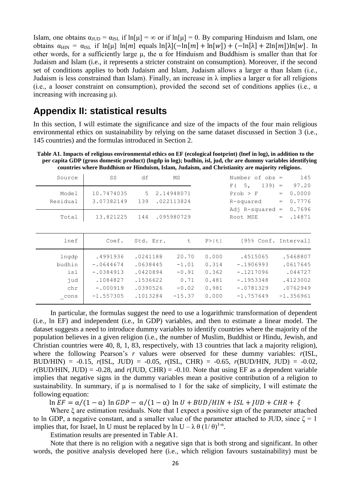Islam, one obtains  $\alpha_{JUD} = \alpha_{ISL}$  if  $\ln[\mu] = \infty$  or if  $\ln[\mu] = 0$ . By comparing Hinduism and Islam, one obtains  $\alpha_{\text{HIN}} = \alpha_{\text{ISL}}$  if  $\ln[\mu] \ln[m]$  equals  $\ln[\lambda](-\ln[m] + \ln[w]) + (-\ln[\lambda] + 2\ln[m])\ln[w]$ . In other words, for a sufficiently large  $\mu$ , the  $\alpha$  for Hinduism and Buddhism is smaller than that for Judaism and Islam (i.e., it represents a stricter constraint on consumption). Moreover, if the second set of conditions applies to both Judaism and Islam, Judaism allows a larger  $\alpha$  than Islam (i.e., Judaism is less constrained than Islam). Finally, an increase in λ implies a larger α for all religions (i.e., a looser constraint on consumption), provided the second set of conditions applies (i.e.,  $\alpha$ increasing with increasing μ).

# **Appendix II: statistical results**

In this section, I will estimate the significance and size of the impacts of the four main religious environmental ethics on sustainability by relying on the same dataset discussed in Section 3 (i.e., 145 countries) and the formulas introduced in Section 2.

**Table A1. Impacts of religious environmental ethics on EF (ecological footprint) (lnef in log), in addition to the per capita GDP (gross domestic product) (lngdp in log); budhin, isl, jud, chr are dummy variables identifying countries where Buddhism or Hinduism, Islam, Judaism, and Christianity are majority religions.**

| Source                                       | SS                                                                              | df                                                                   | MS                                                         |                                                    | Number of $obs =$<br>139)<br>5,<br>F(                                               | 145<br>97.20<br>$=$                                                    |
|----------------------------------------------|---------------------------------------------------------------------------------|----------------------------------------------------------------------|------------------------------------------------------------|----------------------------------------------------|-------------------------------------------------------------------------------------|------------------------------------------------------------------------|
| Model<br>Residual                            | 10.7474035<br>3.07382149                                                        | 5<br>139                                                             | 2.14948071<br>.022113824                                   |                                                    | $Prob$ > $F$<br>R-squared                                                           | 0.0000<br>$=$<br>0.7776<br>$=$                                         |
| Total                                        | 13.821225                                                                       | 144                                                                  | .095980729                                                 |                                                    | Adj R-squared<br>Root MSE                                                           | 0.7696<br>$\hspace*{0.4em} = \hspace*{0.4em}$<br>.14871<br>$=$         |
| lnef                                         | Coef.                                                                           | Std. Err.                                                            | t                                                          | P >  t                                             | [95% Conf. Interval]                                                                |                                                                        |
| lngdp<br>budhin<br>isl<br>jud<br>chr<br>cons | .4991936<br>$-.0644674$<br>$-.0384913$<br>.1084827<br>$-.000919$<br>$-1.557305$ | .0241188<br>.0638445<br>.0420894<br>.1536622<br>.0390526<br>.1013284 | 20.70<br>$-1.01$<br>$-0.91$<br>0.71<br>$-0.02$<br>$-15.37$ | 0.000<br>0.314<br>0.362<br>0.481<br>0.981<br>0.000 | .4515065<br>$-.1906993$<br>$-.1217096$<br>$-.1953348$<br>$-.0781329$<br>$-1.757649$ | .5468807<br>.0617645<br>.044727<br>.4123002<br>.0762949<br>$-1.356961$ |

In particular, the formulas suggest the need to use a logarithmic transformation of dependent (i.e., ln EF) and independent (i.e., ln GDP) variables, and then to estimate a linear model. The dataset suggests a need to introduce dummy variables to identify countries where the majority of the population believes in a given religion (i.e., the number of Muslim, Buddhist or Hindu, Jewish, and Christian countries were 40, 8, 1, 83, respectively, with 13 countries that lack a majority religion), where the following Pearson's *r* values were observed for these dummy variables: *r*(ISL, BUD/HIN) =  $-0.15$ ,  $r(ISL, JUD) = -0.05$ ,  $r(ISL, CHR) = -0.65$ ,  $r(BUD/HIN, JUD) = -0.02$ ,  $r(BUD/HIN, JUD) = -0.28$ , and  $r(JUD, CHR) = -0.10$ . Note that using EF as a dependent variable implies that negative signs in the dummy variables mean a positive contribution of a religion to sustainability. In summary, if  $\mu$  is normalised to 1 for the sake of simplicity, I will estimate the following equation:

 $\ln EF = \alpha/(1-\alpha) \ln GDP - \alpha/(1-\alpha) \ln U + BUD/HIN + ISL + IUD + CHR + \xi$ 

Where ξ are estimation residuals. Note that I expect a positive sign of the parameter attached to ln GDP, a negative constant, and a smaller value of the parameter attached to JUD, since  $\zeta = 1$ implies that, for Israel, ln U must be replaced by ln U –  $\lambda \theta (1/\theta)^{1-\alpha}$ .

Estimation results are presented in Table A1.

Note that there is no religion with a negative sign that is both strong and significant. In other words, the positive analysis developed here (i.e., which religion favours sustainability) must be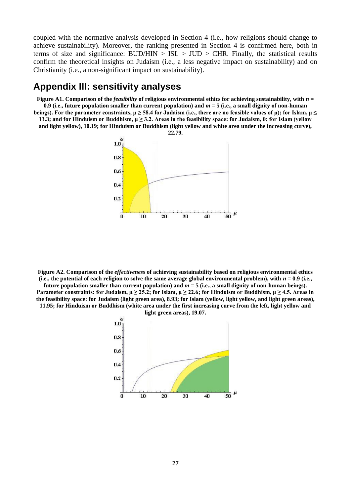coupled with the normative analysis developed in Section 4 (i.e., how religions should change to achieve sustainability). Moreover, the ranking presented in Section 4 is confirmed here, both in terms of size and significance:  $BUD/HIN > ISL > JUD > CHR$ . Finally, the statistical results confirm the theoretical insights on Judaism (i.e., a less negative impact on sustainability) and on Christianity (i.e., a non-significant impact on sustainability).

# **Appendix III: sensitivity analyses**

**Figure** A1. Comparison of the *feasibility* of religious environmental ethics for achieving sustainability, with  $n =$ **0.9 (i.e., future population smaller than current population) and** *m* **= 5 (i.e., a small dignity of non-human beings). For the parameter constraints, μ ≥ 58.4 for Judaism (i.e., there are no feasible values of μ); for Islam, μ ≤** 

**13.3; and for Hinduism or Buddhism, μ ≥ 3.2. Areas in the feasibility space: for Judaism, 0; for Islam (yellow and light yellow), 10.19; for Hinduism or Buddhism (light yellow and white area under the increasing curve),** 



**Figure A2. Comparison of the** *effectiveness* **of achieving sustainability based on religious environmental ethics**  (i.e., the potential of each religion to solve the same average global environmental problem), with  $n = 0.9$  (i.e., **future population smaller than current population) and** *m* **= 5 (i.e., a small dignity of non-human beings).** 

**Parameter constraints: for Judaism,**  $\mu \ge 25.2$ **; for Islam,**  $\mu \ge 22.6$ **; for Hinduism or Buddhism,**  $\mu \ge 4.5$ **. Areas in the feasibility space: for Judaism (light green area), 8.93; for Islam (yellow, light yellow, and light green areas), 11.95; for Hinduism or Buddhism (white area under the first increasing curve from the left, light yellow and** 



**light green areas), 19.07.**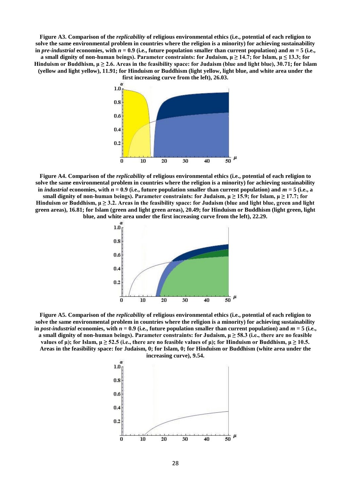**Figure A3. Comparison of the** *replicability* **of religious environmental ethics (i.e., potential of each religion to solve the same environmental problem in countries where the religion is a minority) for achieving sustainability**  in *pre-industrial* economies, with  $n = 0.9$  (i.e., future population smaller than current population) and  $m = 5$  (i.e., **a** small dignity of non-human beings). Parameter constraints: for Judaism,  $\mu \ge 14.7$ ; for Islam,  $\mu \le 13.3$ ; for **Hinduism or Buddhism, μ ≥ 2.6. Areas in the feasibility space: for Judaism (blue and light blue), 30.71; for Islam (yellow and light yellow), 11.91; for Hinduism or Buddhism (light yellow, light blue, and white area under the** 



**Figure A4. Comparison of the** *replicability* **of religious environmental ethics (i.e., potential of each religion to solve the same environmental problem in countries where the religion is a minority) for achieving sustainability in** *industrial* **economies, with** *n* **= 0.9 (i.e., future population smaller than current population) and** *m* **= 5 (i.e., a**  small dignity of non-human beings). Parameter constraints: for Judaism,  $\mu \ge 15.9$ ; for Islam,  $\mu \ge 17.7$ ; for **Hinduism or Buddhism, μ ≥ 3.2. Areas in the feasibility space: for Judaism (blue and light blue, green and light green areas), 16.81; for Islam (green and light green areas), 20.49; for Hinduism or Buddhism (light green, light blue, and white area under the first increasing curve from the left), 22.29.**



**Figure A5. Comparison of the** *replicability* **of religious environmental ethics (i.e., potential of each religion to solve the same environmental problem in countries where the religion is a minority) for achieving sustainability**  in *post-industrial* economies, with  $n = 0.9$  (i.e., future population smaller than current population) and  $m = 5$  (i.e., **a small dignity of non-human beings). Parameter constraints: for Judaism,**  $\mu \geq 58.3$  **(i.e., there are no feasible values of μ); for Islam,**  $\mu \ge 52.5$  **(i.e., there are no feasible values of μ); for Hinduism or Buddhism,**  $\mu \ge 10.5$ **. Areas in the feasibility space: for Judaism, 0; for Islam, 0; for Hinduism or Buddhism (white area under the** 

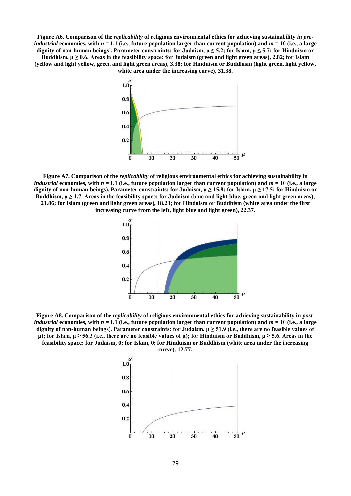**Figure A6. Comparison of the** *replicability* **of religious environmental ethics for achieving sustainability** *in preindustrial* economies, with  $n = 1.1$  (i.e., future population larger than current population) and  $m = 10$  (i.e., a large **dignity of non-human beings). Parameter constraints: for Judaism, μ ≤ 5.2; for Islam, μ ≤ 5.7; for Hinduism or** 

**Buddhism, μ ≥ 0.6. Areas in the feasibility space: for Judaism (green and light green areas), 2.82; for Islam (yellow and light yellow, green and light green areas), 3.38; for Hinduism or Buddhism (light green, light yellow, white area under the increasing curve), 31.38.**



**Figure A7. Comparison of the** *replicability* **of religious environmental ethics for achieving sustainability in**  *industrial* economies, with  $n = 1.1$  (i.e., future population larger than current population) and  $m = 10$  (i.e., a large **dignity of non-human beings). Parameter constraints: for Judaism, μ ≥ 15.9; for Islam, μ ≥ 17.5; for Hinduism or**  Buddhism,  $\mu \geq 1.7$ . Areas in the feasibility space: for Judaism (blue and light blue, green and light green areas), **21.86; for Islam (green and light green areas), 18.23; for Hinduism or Buddhism (white area under the first increasing curve from the left, light blue and light green), 22.37.**



**Figure A8. Comparison of the** *replicability* **of religious environmental ethics for achieving sustainability in** *postindustrial* economies, with  $n = 1.1$  (i.e., future population larger than current population) and  $m = 10$  (i.e., a large **dignity of non-human beings). Parameter constraints: for Judaism, μ ≥ 51.9 (i.e., there are no feasible values of μ); for Islam, μ ≥ 56.3 (i.e., there are no feasible values of μ); for Hinduism or Buddhism, μ ≥ 5.6. Areas in the feasibility space: for Judaism, 0; for Islam, 0; for Hinduism or Buddhism (white area under the increasing** 



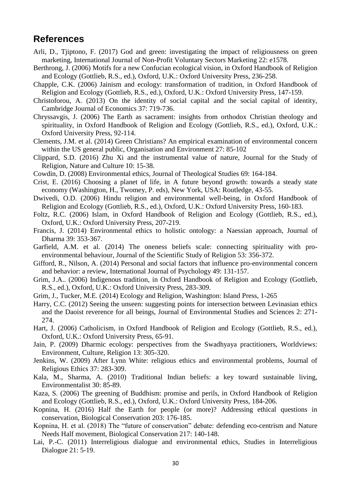# **References**

- Arli, D., Tjiptono, F. (2017) God and green: investigating the impact of religiousness on green marketing, International Journal of Non-Profit Voluntary Sectors Marketing 22: e1578.
- Berthrong, J. (2006) Motifs for a new Confucian ecological vision, in Oxford Handbook of Religion and Ecology (Gottlieb, R.S., ed.), Oxford, U.K.: Oxford University Press, 236-258.
- Chapple, C.K. (2006) Jainism and ecology: transformation of tradition, in Oxford Handbook of Religion and Ecology (Gottlieb, R.S., ed.), Oxford, U.K.: Oxford University Press, 147-159.
- Christoforou, A. (2013) On the identity of social capital and the social capital of identity, Cambridge Journal of Economics 37: 719-736.
- Chryssavgis, J. (2006) The Earth as sacrament: insights from orthodox Christian theology and spirituality, in Oxford Handbook of Religion and Ecology (Gottlieb, R.S., ed.), Oxford, U.K.: Oxford University Press, 92-114.
- Clements, J.M. et al. (2014) Green Christians? An empirical examination of environmental concern within the US general public, Organisation and Environment 27: 85-102
- Clippard, S.D. (2016) Zhu Xi and the instrumental value of nature, Journal for the Study of Religion, Nature and Culture 10: 15-38.
- Cowdin, D. (2008) Environmental ethics, Journal of Theological Studies 69: 164-184.
- Crist, E. (2016) Choosing a planet of life, in A future beyond growth: towards a steady state economy (Washington, H., Twomey, P. eds), New York, USA: Routledge, 43-55.
- Dwivedi, O.D. (2006) Hindu religion and environmental well-being, in Oxford Handbook of Religion and Ecology (Gottlieb, R.S., ed.), Oxford, U.K.: Oxford University Press, 160-183.
- Foltz, R.C. (2006) Islam, in Oxford Handbook of Religion and Ecology (Gottlieb, R.S., ed.), Oxford, U.K.: Oxford University Press, 207-219.
- Francis, J. (2014) Environmental ethics to holistic ontology: a Naessian approach, Journal of Dharma 39: 353-367.
- Garfield, A.M. et al. (2014) The oneness beliefs scale: connecting spirituality with proenvironmental behaviour, Journal of the Scientific Study of Religion 53: 356-372.
- Gifford, R., Nilson, A. (2014) Personal and social factors that influence pro-environmental concern and behavior: a review, International Journal of Psychology 49: 131-157.
- Grim, J.A.. (2006) Indigenous tradition, in Oxford Handbook of Religion and Ecology (Gottlieb, R.S., ed.), Oxford, U.K.: Oxford University Press, 283-309.
- Grim, J., Tucker, M.E. (2014) Ecology and Religion, Washington: Island Press, 1-265
- Harry, C.C. (2012) Seeing the unseen: suggesting points for intersection between Levinasian ethics and the Daoist reverence for all beings, Journal of Environmental Studies and Sciences 2: 271- 274.
- Hart, J. (2006) Catholicism, in Oxford Handbook of Religion and Ecology (Gottlieb, R.S., ed.), Oxford, U.K.: Oxford University Press, 65-91.
- Jain, P. (2009) Dharmic ecology: perspectives from the Swadhyaya practitioners, Worldviews: Environment, Culture, Religion 13: 305-320.
- Jenkins, W. (2009) After Lynn White: religious ethics and environmental problems, Journal of Religious Ethics 37: 283-309.
- Kala, M., Sharma, A. (2010) Traditional Indian beliefs: a key toward sustainable living, Environmentalist 30: 85-89.
- Kaza, S. (2006) The greening of Buddhism: promise and perils, in Oxford Handbook of Religion and Ecology (Gottlieb, R.S., ed.), Oxford, U.K.: Oxford University Press, 184-206.
- Kopnina, H. (2016) Half the Earth for people (or more)? Addressing ethical questions in conservation, Biological Conservation 203: 176-185.
- Kopnina, H. et al. (2018) The "future of conservation" debate: defending eco-centrism and Nature Needs Half movement, Biological Conservation 217: 140-148.
- Lai, P.-C. (2011) Interreligious dialogue and environmental ethics, Studies in Interreligious Dialogue 21: 5-19.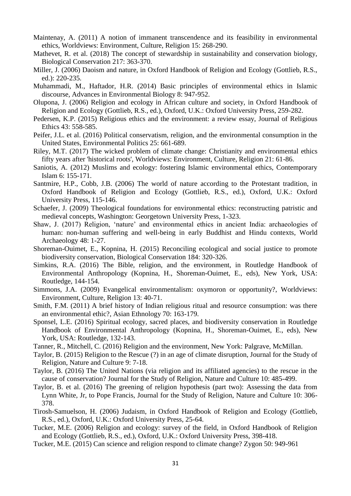- Maintenay, A. (2011) A notion of immanent transcendence and its feasibility in environmental ethics, Worldviews: Environment, Culture, Religion 15: 268-290.
- Mathevet, R. et al. (2018) The concept of stewardship in sustainability and conservation biology, Biological Conservation 217: 363-370.
- Miller, J. (2006) Daoism and nature, in Oxford Handbook of Religion and Ecology (Gottlieb, R.S., ed.): 220-235.
- Muhammadi, M., Haftador, H.R. (2014) Basic principles of environmental ethics in Islamic discourse, Advances in Environmental Biology 8: 947-952.
- Olupona, J. (2006) Religion and ecology in African culture and society, in Oxford Handbook of Religion and Ecology (Gottlieb, R.S., ed.), Oxford, U.K.: Oxford University Press, 259-282.
- Pedersen, K.P. (2015) Religious ethics and the environment: a review essay, Journal of Religious Ethics 43: 558-585.
- Peifer, J.L. et al. (2016) Political conservatism, religion, and the environmental consumption in the United States, Environmental Politics 25: 661-689.
- Riley, M.T. (2017) The wicked problem of climate change: Christianity and environmental ethics fifty years after 'historical roots', Worldviews: Environment, Culture, Religion 21: 61-86.
- Saniotis, A. (2012) Muslims and ecology: fostering Islamic environmental ethics, Contemporary Islam 6: 155-171.
- Santmire, H.P., Cobb, J.B. (2006) The world of nature according to the Protestant tradition, in Oxford Handbook of Religion and Ecology (Gottlieb, R.S., ed.), Oxford, U.K.: Oxford University Press, 115-146.
- Schaefer, J. (2009) Theological foundations for environmental ethics: reconstructing patristic and medieval concepts, Washington: Georgetown University Press, 1-323.
- Shaw, J. (2017) Religion, 'nature' and environmental ethics in ancient India: archaeologies of human: non-human suffering and well-being in early Buddhist and Hindu contexts, World Archaeology 48: 1-27.
- Shoreman-Ouimet, E., Kopnina, H. (2015) Reconciling ecological and social justice to promote biodiversity conservation, Biological Conservation 184: 320-326.
- Simkins, R.A. (2016) The Bible, religion, and the environment, in Routledge Handbook of Environmental Anthropology (Kopnina, H., Shoreman-Ouimet, E., eds), New York, USA: Routledge, 144-154.
- Simmons, J.A. (2009) Evangelical environmentalism: oxymoron or opportunity?, Worldviews: Environment, Culture, Religion 13: 40-71.
- Smith, F.M. (2011) A brief history of Indian religious ritual and resource consumption: was there an environmental ethic?, Asian Ethnology 70: 163-179.
- Sponsel, L.E. (2016) Spiritual ecology, sacred places, and biodiversity conservation in Routledge Handbook of Environmental Anthropology (Kopnina, H., Shoreman-Ouimet, E., eds), New York, USA: Routledge, 132-143.
- Tanner, R., Mitchell, C. (2016) Religion and the environment, New York: Palgrave, McMillan.
- Taylor, B. (2015) Religion to the Rescue (?) in an age of climate disruption, Journal for the Study of Religion, Nature and Culture 9: 7-18.
- Taylor, B. (2016) The United Nations (via religion and its affiliated agencies) to the rescue in the cause of conservation? Journal for the Study of Religion, Nature and Culture 10: 485-499.
- Taylor, B. et al. (2016) The greening of religion hypothesis (part two): Assessing the data from Lynn White, Jr, to Pope Francis, Journal for the Study of Religion, Nature and Culture 10: 306- 378.
- Tirosh-Samuelson, H. (2006) Judaism, in Oxford Handbook of Religion and Ecology (Gottlieb, R.S., ed.), Oxford, U.K.: Oxford University Press, 25-64.
- Tucker, M.E. (2006) Religion and ecology: survey of the field, in Oxford Handbook of Religion and Ecology (Gottlieb, R.S., ed.), Oxford, U.K.: Oxford University Press, 398-418.
- Tucker, M.E. (2015) Can science and religion respond to climate change? Zygon 50: 949-961